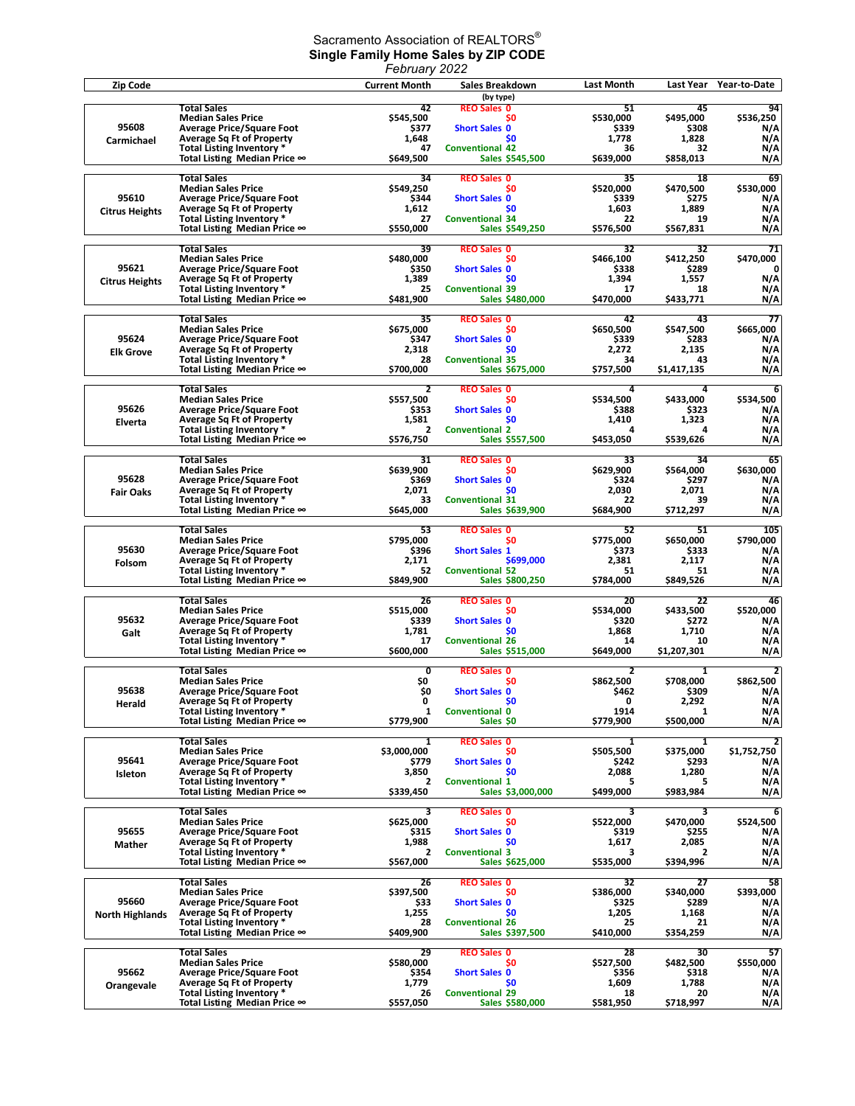## Sacramento Association of REALTORS $^\circ$ **Single Family Home Sales by ZIP CODE**

| February 2022          |                                                                      |                                      |                                           |                    |                    |                               |  |
|------------------------|----------------------------------------------------------------------|--------------------------------------|-------------------------------------------|--------------------|--------------------|-------------------------------|--|
| Zip Code               |                                                                      | <b>Current Month</b>                 | Sales Breakdown                           | <b>Last Month</b>  | Last Year          | Year-to-Date                  |  |
|                        |                                                                      |                                      | (by type)                                 |                    |                    |                               |  |
|                        | <b>Total Sales</b>                                                   | 42                                   | <b>REO Sales 0</b>                        | 51                 | 45                 | 94                            |  |
| 95608                  | <b>Median Sales Price</b><br><b>Average Price/Square Foot</b>        | \$545,500<br><b>\$377</b>            | S0<br><b>Short Sales 0</b>                | \$530,000<br>\$339 | \$495,000<br>\$308 | \$536,250<br>N/A              |  |
| Carmichael             | <b>Average Sq Ft of Property</b>                                     | 1,648                                | S <sub>0</sub>                            | 1,778              | 1,828              | N/A                           |  |
|                        | Total Listing Inventory *                                            | 47                                   | <b>Conventional 42</b>                    | 36                 | 32                 | N/A                           |  |
|                        | Total Listing Median Price ∞                                         | \$649,500                            | Sales \$545,500                           | \$639,000          | \$858,013          | N/A                           |  |
|                        | <b>Total Sales</b>                                                   | 34                                   | <b>REO Sales 0</b>                        | 35                 | 18                 | 69                            |  |
|                        | <b>Median Sales Price</b>                                            | \$549,250                            | S <sub>0</sub>                            | \$520,000          | \$470,500          | \$530,000                     |  |
| 95610                  | <b>Average Price/Square Foot</b>                                     | \$344                                | <b>Short Sales 0</b>                      | \$339              | \$275              | N/A                           |  |
| <b>Citrus Heights</b>  | <b>Average Sq Ft of Property</b>                                     | 1,612                                | \$0                                       | 1,603              | 1,889              | N/A                           |  |
|                        | Total Listing Inventory *                                            | 27                                   | <b>Conventional 34</b>                    | 22                 | 19                 | N/A                           |  |
|                        | Total Listing Median Price ∞                                         | \$550,000                            | <b>Sales \$549,250</b>                    | \$576,500          | \$567,831          | N/A                           |  |
|                        | <b>Total Sales</b>                                                   | 39                                   | <b>REO Sales 0</b>                        | 32                 | 32                 | 71                            |  |
|                        | <b>Median Sales Price</b>                                            | \$480,000                            | \$0                                       | \$466,100          | \$412,250          | \$470,000                     |  |
| 95621                  | <b>Average Price/Square Foot</b>                                     | \$350                                | <b>Short Sales 0</b>                      | \$338              | \$289              | 0                             |  |
| <b>Citrus Heights</b>  | <b>Average Sq Ft of Property</b>                                     | 1,389                                | S <sub>0</sub>                            | 1,394              | 1,557              | N/A                           |  |
|                        | Total Listing Inventory *                                            | 25                                   | <b>Conventional 39</b>                    | 17                 | 18                 | N/A                           |  |
|                        | Total Listing Median Price $\infty$                                  | \$481,900                            | Sales \$480,000                           | \$470,000          | \$433,771          | N/A                           |  |
|                        | <b>Total Sales</b>                                                   | 35                                   | <b>REO Sales 0</b>                        | 42                 | 43                 | 77                            |  |
|                        | <b>Median Sales Price</b>                                            | \$675,000                            | S0                                        | \$650,500          | \$547,500          | \$665,000                     |  |
| 95624                  | <b>Average Price/Square Foot</b>                                     | \$347                                | <b>Short Sales 0</b>                      | \$339              | \$283              | N/A                           |  |
| <b>Elk Grove</b>       | <b>Average Sq Ft of Property</b>                                     | 2,318                                | \$0                                       | 2,272              | 2,135              | N/A                           |  |
|                        | Total Listing Inventory *                                            | 28<br>\$700,000                      | <b>Conventional 35</b><br>Sales \$675,000 | 34                 | 43<br>\$1,417,135  | N/A                           |  |
|                        | Total Listing Median Price $\infty$                                  |                                      |                                           | \$757,500          |                    | N/A                           |  |
|                        | <b>Total Sales</b>                                                   | 2                                    | <b>REO Sales 0</b>                        | 4                  | Δ                  | 6                             |  |
|                        | <b>Median Sales Price</b>                                            | \$557,500                            | \$0                                       | \$534,500          | \$433,000          | \$534,500                     |  |
| 95626                  | <b>Average Price/Square Foot</b>                                     | \$353                                | <b>Short Sales 0</b>                      | \$388              | \$323              | N/A                           |  |
| Elverta                | <b>Average Sq Ft of Property</b>                                     | 1,581                                | \$0                                       | 1,410              | 1,323              | N/A                           |  |
|                        | Total Listing Inventory *<br>Total Listing Median Price $\infty$     | $\overline{\mathbf{2}}$<br>\$576,750 | <b>Conventional 2</b><br>Sales \$557,500  | 4<br>\$453,050     | 4<br>\$539,626     | N/A<br>N/A                    |  |
|                        |                                                                      |                                      |                                           |                    |                    |                               |  |
|                        | <b>Total Sales</b>                                                   | 31                                   | <b>REO Sales 0</b>                        | 33                 | 34                 | 65                            |  |
|                        | <b>Median Sales Price</b>                                            | \$639,900                            | S0                                        | \$629,900          | \$564,000          | \$630,000                     |  |
| 95628                  | <b>Average Price/Square Foot</b>                                     | \$369                                | <b>Short Sales 0</b>                      | \$324              | \$297              | N/A                           |  |
| <b>Fair Oaks</b>       | <b>Average Sq Ft of Property</b>                                     | 2,071<br>33                          | S <sub>0</sub>                            | 2,030              | 2,071              | N/A                           |  |
|                        | Total Listing Inventory *<br>Total Listing Median Price ∞            | \$645,000                            | <b>Conventional 31</b><br>Sales \$639,900 | 22<br>\$684,900    | 39<br>\$712,297    | N/A<br>N/A                    |  |
|                        |                                                                      |                                      |                                           |                    |                    |                               |  |
|                        | <b>Total Sales</b>                                                   | 53                                   | <b>REO Sales 0</b>                        | 52                 | 51                 | 105                           |  |
|                        | <b>Median Sales Price</b>                                            | \$795,000                            | S <sub>0</sub>                            | \$775,000          | \$650,000          | \$790,000                     |  |
| 95630                  | <b>Average Price/Square Foot</b>                                     | \$396                                | <b>Short Sales 1</b>                      | \$373              | \$333              | N/A                           |  |
| Folsom                 | <b>Average Sq Ft of Property</b><br>Total Listing Inventory *        | 2,171<br>52                          | \$699,000<br><b>Conventional 52</b>       | 2,381<br>51        | 2,117<br>51        | N/A<br>N/A                    |  |
|                        | Total Listing Median Price ∞                                         | \$849,900                            | Sales \$800,250                           | \$784,000          | \$849,526          | N/A                           |  |
|                        |                                                                      |                                      |                                           |                    |                    |                               |  |
|                        | <b>Total Sales</b>                                                   | 26                                   | <b>REO Sales 0</b>                        | 20                 | 22                 | 46                            |  |
| 95632                  | <b>Median Sales Price</b>                                            | \$515,000                            | \$0                                       | \$534.000<br>\$320 | \$433,500<br>\$272 | \$520,000<br>N/A              |  |
|                        | <b>Average Price/Square Foot</b><br><b>Average Sq Ft of Property</b> | \$339<br>1,781                       | <b>Short Sales 0</b><br>S <sub>0</sub>    | 1,868              | 1,710              | N/A                           |  |
| Galt                   | Total Listing Inventory *                                            | 17                                   | <b>Conventional 26</b>                    | 14                 | 10                 | N/A                           |  |
|                        | Total Listing Median Price $\infty$                                  | \$600,000                            | Sales \$515,000                           | \$649,000          | \$1,207,301        | N/A                           |  |
|                        |                                                                      |                                      |                                           |                    |                    |                               |  |
|                        | <b>Total Sales</b>                                                   | 0                                    | <b>REO Sales 0</b>                        | 2                  | 1                  | $\overline{2}$                |  |
| 95638                  | <b>Median Sales Price</b><br><b>Average Price/Square Foot</b>        | \$0<br>\$O                           | <b>SO</b><br><b>Short Sales 0</b>         | \$862,500<br>\$462 | \$708.000          | \$862,500                     |  |
|                        | <b>Average Sq Ft of Property</b>                                     | 0                                    | \$0                                       | 0                  | \$309<br>2,292     | N/A<br>N/A                    |  |
| Herald                 | Total Listing Inventory *                                            | 1                                    | <b>Conventional 0</b>                     | 1914               | 1                  | N/A                           |  |
|                        | Total Listing Median Price ∞                                         | \$779,900                            | Sales \$0                                 | \$779,900          | \$500,000          | N/A                           |  |
|                        |                                                                      |                                      |                                           |                    |                    |                               |  |
|                        | <b>Total Sales</b><br><b>Median Sales Price</b>                      | 1<br>\$3,000,000                     | <b>REO Sales 0</b><br>\$0                 | 1<br>\$505,500     | 1<br>\$375,000     | $\overline{2}$<br>\$1,752,750 |  |
| 95641                  | <b>Average Price/Square Foot</b>                                     | \$779                                | <b>Short Sales 0</b>                      | \$242              | \$293              | N/A                           |  |
| Isleton                | <b>Average Sq Ft of Property</b>                                     | 3,850                                | \$0                                       | 2,088              | 1,280              | N/A                           |  |
|                        | Total Listing Inventory *                                            | 2                                    | <b>Conventional 1</b>                     | 5                  | 5                  | N/A                           |  |
|                        | Total Listing Median Price ∞                                         | \$339,450                            | Sales \$3,000,000                         | \$499,000          | \$983,984          | N/A                           |  |
|                        | Total Sales                                                          | 3                                    |                                           | 3                  | 3                  | 6                             |  |
|                        | <b>Median Sales Price</b>                                            | \$625,000                            | <b>REO Sales 0</b><br>SO.                 | \$522,000          | \$470,000          | \$524,500                     |  |
| 95655                  | <b>Average Price/Square Foot</b>                                     | \$315                                | <b>Short Sales 0</b>                      | \$319              | \$255              | N/A                           |  |
| Mather                 | <b>Average Sq Ft of Property</b>                                     | 1,988                                | <b>SO</b>                                 | 1,617              | 2,085              | N/A                           |  |
|                        | Total Listing Inventory *                                            | 2                                    | <b>Conventional 3</b>                     | 3                  | $\overline{2}$     | N/A                           |  |
|                        | Total Listing Median Price ∞                                         | \$567,000                            | Sales \$625,000                           | \$535,000          | \$394,996          | N/A                           |  |
|                        | <b>Total Sales</b>                                                   | 26                                   | <b>REO Sales 0</b>                        | 32                 | 27                 | 58                            |  |
|                        | <b>Median Sales Price</b>                                            | \$397,500                            | SO.                                       | \$386,000          | \$340,000          | \$393,000                     |  |
| 95660                  | <b>Average Price/Square Foot</b>                                     | \$33                                 | <b>Short Sales 0</b>                      | \$325              | \$289              | N/A                           |  |
| <b>North Highlands</b> | <b>Average Sq Ft of Property</b>                                     | 1,255                                | \$0                                       | 1,205              | 1,168              | N/A                           |  |
|                        | Total Listing Inventory *                                            | 28                                   | <b>Conventional 26</b>                    | 25                 | 21                 | N/A                           |  |
|                        | Total Listing Median Price $\infty$                                  | \$409,900                            | Sales \$397,500                           | \$410,000          | \$354,259          | N/A                           |  |
|                        | <b>Total Sales</b>                                                   | 29                                   | <b>REO Sales 0</b>                        | 28                 | 30                 | 57                            |  |
|                        | <b>Median Sales Price</b>                                            | \$580,000                            | SO.                                       | \$527,500          | \$482,500          | \$550,000                     |  |
| 95662                  | <b>Average Price/Square Foot</b>                                     | \$354                                | <b>Short Sales 0</b>                      | \$356              | \$318              | N/A                           |  |
| Orangevale             | <b>Average Sq Ft of Property</b>                                     | 1,779                                | <b>SO</b>                                 | 1,609              | 1,788              | N/A                           |  |
|                        | Total Listing Inventory *                                            | 26                                   | <b>Conventional 29</b>                    | 18                 | 20                 | N/A                           |  |
|                        | Total Listing Median Price ∞                                         | \$557,050                            | Sales \$580,000                           | \$581,950          | \$718,997          | N/A                           |  |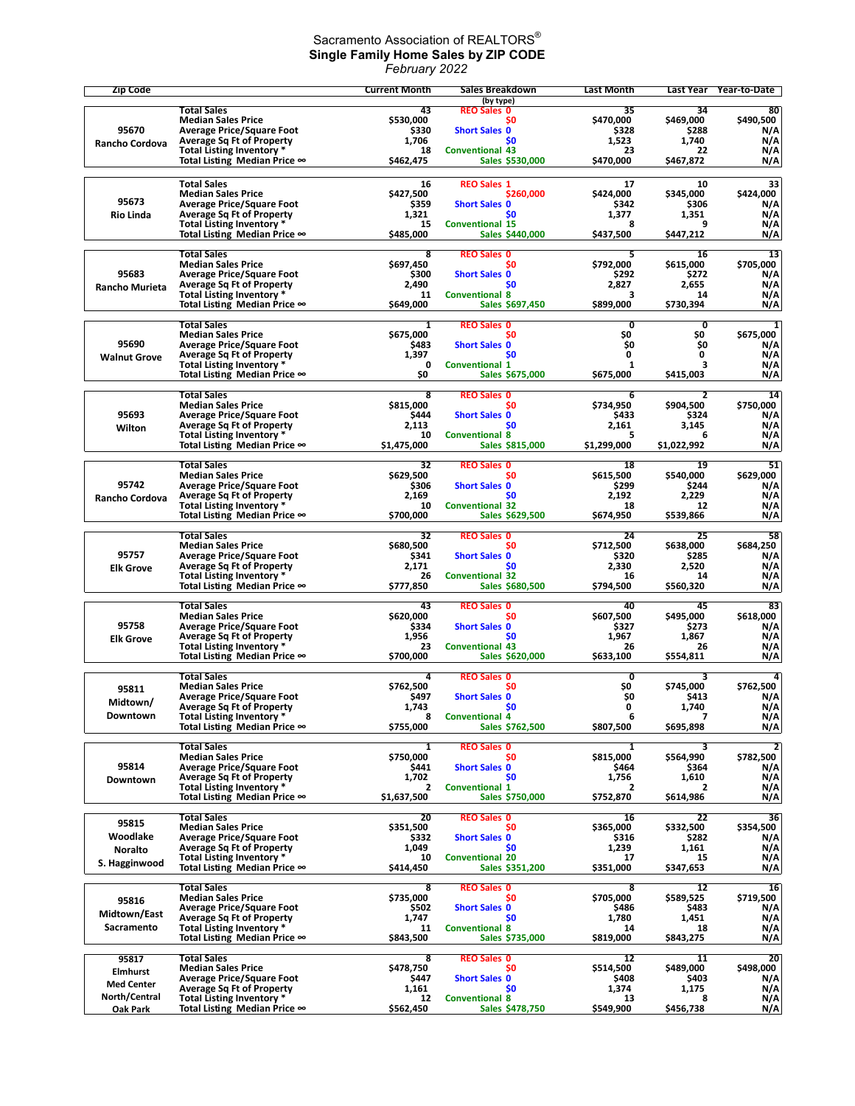## Sacramento Association of REALTORS $^\circ$ **Single Family Home Sales by ZIP CODE** *February 2022*

| <b>Zip Code</b>            |                                                                      | <b>Current Month</b> | Sales Breakdown                           | <b>Last Month</b> | Last Year                   | Year-to-Date    |
|----------------------------|----------------------------------------------------------------------|----------------------|-------------------------------------------|-------------------|-----------------------------|-----------------|
|                            | Total Sales                                                          | 43                   | (by type)<br><b>REO Sales 0</b>           | 35                | 34                          | 80              |
|                            | <b>Median Sales Price</b>                                            | \$530,000            | S0                                        | \$470,000         | \$469,000                   | \$490,500       |
| 95670                      | <b>Average Price/Square Foot</b>                                     | \$330                | <b>Short Sales 0</b>                      | \$328             | \$288                       | N/A             |
| Rancho Cordova             | <b>Average Sq Ft of Property</b><br>Total Listing Inventory *        | 1,706<br>18          | \$0<br><b>Conventional 43</b>             | 1.523<br>23       | 1,740<br>22                 | N/A<br>N/A      |
|                            | Total Listing Median Price ∞                                         | \$462,475            | Sales \$530,000                           | \$470,000         | \$467,872                   | N/A             |
|                            |                                                                      |                      |                                           |                   |                             |                 |
|                            | <b>Total Sales</b><br><b>Median Sales Price</b>                      | 16<br>\$427,500      | <b>REO Sales 1</b><br>\$260,000           | 17<br>\$424,000   | 10<br>\$345,000             | 33<br>\$424,000 |
| 95673                      | <b>Average Price/Square Foot</b>                                     | \$359                | <b>Short Sales 0</b>                      | \$342             | \$306                       | N/A             |
| <b>Rio Linda</b>           | <b>Average Sq Ft of Property</b><br><b>Total Listing Inventory *</b> | 1,321                | S0                                        | 1,377             | 1,351<br>9                  | N/A             |
|                            | Total Listing Median Price ∞                                         | 15<br>\$485,000      | <b>Conventional 15</b><br>Sales \$440,000 | 8<br>\$437,500    | \$447,212                   | N/A<br>N/A      |
|                            |                                                                      |                      |                                           |                   |                             |                 |
|                            | <b>Total Sales</b><br><b>Median Sales Price</b>                      | 8<br>\$697,450       | <b>REO Sales 0</b><br>S0                  | 5<br>\$792,000    | 16<br>\$615,000             | 13<br>\$705,000 |
| 95683                      | <b>Average Price/Square Foot</b>                                     | \$300                | <b>Short Sales 0</b>                      | \$292             | \$272                       | N/A             |
| <b>Rancho Murieta</b>      | <b>Average Sq Ft of Property</b><br>Total Listing Inventory *        | 2,490<br>11          | \$0<br><b>Conventional 8</b>              | 2,827<br>3        | 2,655<br>14                 | N/A<br>N/A      |
|                            | Total Listing Median Price ∞                                         | \$649,000            | Sales \$697,450                           | \$899,000         | \$730,394                   | N/A             |
|                            |                                                                      |                      |                                           |                   |                             |                 |
|                            | <b>Total Sales</b><br><b>Median Sales Price</b>                      | 1<br>\$675,000       | <b>REO Sales 0</b><br>\$0                 | 0<br>\$0          | 0<br>\$O                    | 1<br>\$675,000  |
| 95690                      | <b>Average Price/Square Foot</b>                                     | \$483                | <b>Short Sales 0</b>                      | \$0               | \$0                         | N/A             |
| <b>Walnut Grove</b>        | <b>Average Sq Ft of Property</b><br>Total Listing Inventory *        | 1,397<br>0           | SO.<br><b>Conventional 1</b>              | 0<br>$\mathbf{1}$ | 0<br>3                      | N/A<br>N/A      |
|                            | Total Listing Median Price ∞                                         | \$O                  | Sales \$675,000                           | \$675,000         | \$415,003                   | N/A             |
|                            |                                                                      |                      |                                           |                   |                             |                 |
|                            | <b>Total Sales</b><br><b>Median Sales Price</b>                      | 8<br>\$815,000       | <b>REO Sales 0</b><br>S0                  | 6<br>\$734,950    | $\overline{2}$<br>\$904,500 | 14<br>\$750,000 |
| 95693                      | <b>Average Price/Square Foot</b>                                     | \$444                | <b>Short Sales 0</b>                      | \$433             | \$324                       | N/A             |
| Wilton                     | <b>Average Sq Ft of Property</b><br>Total Listing Inventory *        | 2,113<br>10          | \$0<br><b>Conventional 8</b>              | 2.161<br>5        | 3,145<br>6                  | N/A<br>N/A      |
|                            | Total Listing Median Price ∞                                         | \$1,475,000          | Sales \$815,000                           | \$1,299,000       | \$1,022,992                 | N/A             |
|                            |                                                                      |                      |                                           |                   |                             |                 |
|                            | <b>Total Sales</b><br><b>Median Sales Price</b>                      | 32<br>\$629,500      | <b>REO Sales 0</b><br>\$0                 | 18<br>\$615,500   | 19<br>\$540,000             | 51<br>\$629,000 |
| 95742                      | <b>Average Price/Square Foot</b>                                     | \$306                | <b>Short Sales 0</b>                      | \$299             | \$244                       | N/A             |
| Rancho Cordova             | <b>Average Sq Ft of Property</b><br>Total Listing Inventory *        | 2,169<br>10          | \$0<br><b>Conventional 32</b>             | 2,192<br>18       | 2,229<br>12                 | N/A<br>N/A      |
|                            | Total Listing Median Price $\infty$                                  | \$700,000            | Sales \$629,500                           | \$674,950         | \$539,866                   | N/A             |
|                            |                                                                      |                      |                                           |                   |                             |                 |
|                            | <b>Total Sales</b><br><b>Median Sales Price</b>                      | 32<br>\$680,500      | <b>REO Sales 0</b><br>\$0                 | 24<br>\$712,500   | 25<br>\$638,000             | 58<br>\$684,250 |
| 95757                      | <b>Average Price/Square Foot</b>                                     | \$341                | <b>Short Sales 0</b>                      | \$320             | \$285                       | N/A             |
| <b>Elk Grove</b>           | <b>Average Sq Ft of Property</b><br>Total Listing Inventory *        | 2,171<br>26          | <b>SO</b><br><b>Conventional 32</b>       | 2,330<br>16       | 2,520<br>14                 | N/A<br>N/A      |
|                            | Total Listing Median Price $\infty$                                  | \$777,850            | <b>Sales \$680,500</b>                    | \$794,500         | \$560,320                   | N/A             |
|                            | Total Sales                                                          | 43                   | <b>REO Sales 0</b>                        | 40                | 45                          | 83              |
|                            | <b>Median Sales Price</b>                                            | \$620,000            | S0                                        | \$607,500         | \$495,000                   | \$618,000       |
| 95758                      | <b>Average Price/Square Foot</b>                                     | \$334                | <b>Short Sales 0</b>                      | \$327             | \$273                       | N/A             |
| <b>Elk Grove</b>           | <b>Average Sq Ft of Property</b><br>Total Listing Inventory *        | 1,956<br>23          | \$0<br><b>Conventional 43</b>             | 1,967<br>26       | 1,867<br>26                 | N/A<br>N/A      |
|                            | Total Listing Median Price ∞                                         | \$700,000            | Sales \$620,000                           | \$633,100         | \$554,811                   | N/A             |
|                            | <b>Total Sales</b>                                                   | 4                    | <b>REO Sales 0</b>                        | 0                 | 3                           | 4               |
| 95811                      | <b>Median Sales Price</b>                                            | \$762,500            | \$0                                       | \$0               | \$745,000                   | \$762,500       |
| Midtown/                   | <b>Average Price/Square Foot</b>                                     | \$497                | <b>Short Sales 0</b>                      | \$0               | \$413                       | N/A             |
| Downtown                   | Average Sq Ft of Property<br>Total Listing Inventory *               | 1,743<br>8           | S0<br><b>Conventional 4</b>               | 0<br>6            | 1,740<br>7                  | N/A<br>N/A      |
|                            | Total Listing Median Price ∞                                         | \$755,000            | Sales \$762,500                           | \$807,500         | \$695,898                   | N/A             |
|                            | <b>Total Sales</b>                                                   | $\mathbf{1}$         | <b>REO Sales 0</b>                        | 1                 | 3                           | $\overline{2}$  |
|                            | <b>Median Sales Price</b>                                            | \$750,000            | \$O                                       | \$815,000         | \$564,990                   | \$782,500       |
| 95814                      | <b>Average Price/Square Foot</b><br><b>Average Sq Ft of Property</b> | \$441<br>1,702       | <b>Short Sales 0</b><br>\$0               | \$464<br>1,756    | \$364<br>1,610              | N/A<br>N/A      |
| Downtown                   | Total Listing Inventory *                                            | 2                    | <b>Conventional 1</b>                     | 2                 | 2                           | N/A             |
|                            | Total Listing Median Price ∞                                         | \$1,637,500          | Sales \$750,000                           | \$752,870         | \$614,986                   | N/A             |
|                            | Total Sales                                                          | 20                   | <b>REO Sales 0</b>                        | 16                | 22                          | 36              |
| 95815                      | <b>Median Sales Price</b>                                            | \$351,500            | S0                                        | \$365.000         | \$332,500                   | \$354,500       |
| Woodlake<br><b>Noralto</b> | <b>Average Price/Square Foot</b><br><b>Average Sq Ft of Property</b> | \$332<br>1,049       | <b>Short Sales 0</b><br>\$0               | \$316<br>1,239    | \$282<br>1,161              | N/A<br>N/A      |
| S. Hagginwood              | Total Listing Inventory *                                            | 10                   | <b>Conventional 20</b>                    | 17                | 15                          | N/A             |
|                            | Total Listing Median Price ∞                                         | \$414,450            | Sales \$351,200                           | \$351,000         | \$347,653                   | N/A             |
|                            | <b>Total Sales</b>                                                   | 8                    | <b>REO Sales 0</b>                        | 8                 | 12                          | 16              |
| 95816                      | <b>Median Sales Price</b>                                            | \$735,000            | \$0                                       | \$705,000         | \$589,525                   | \$719,500       |
| Midtown/East               | <b>Average Price/Square Foot</b><br><b>Average Sq Ft of Property</b> | \$502<br>1,747       | <b>Short Sales 0</b><br>SO.               | \$486<br>1,780    | \$483<br>1,451              | N/A<br>N/A      |
| Sacramento                 | Total Listing Inventory *                                            | 11                   | <b>Conventional 8</b>                     | 14                | 18                          | N/A             |
|                            | Total Listing Median Price ∞                                         | \$843,500            | Sales \$735,000                           | \$819,000         | \$843,275                   | N/A             |
| 95817                      | <b>Total Sales</b>                                                   | 8                    | <b>REO Sales 0</b>                        | 12                | 11                          | 20              |
| Elmhurst                   | <b>Median Sales Price</b>                                            | \$478,750            | S0                                        | \$514,500         | \$489,000                   | \$498,000       |
| <b>Med Center</b>          | <b>Average Price/Square Foot</b><br><b>Average Sq Ft of Property</b> | \$447<br>1,161       | <b>Short Sales 0</b><br>\$0               | \$408<br>1,374    | \$403<br>1,175              | N/A<br>N/A      |
| North/Central              | Total Listing Inventory *                                            | 12                   | <b>Conventional 8</b>                     | 13                | 8                           | N/A             |
| Oak Park                   | Total Listing Median Price $\infty$                                  | \$562,450            | Sales \$478,750                           | \$549,900         | \$456,738                   | N/A             |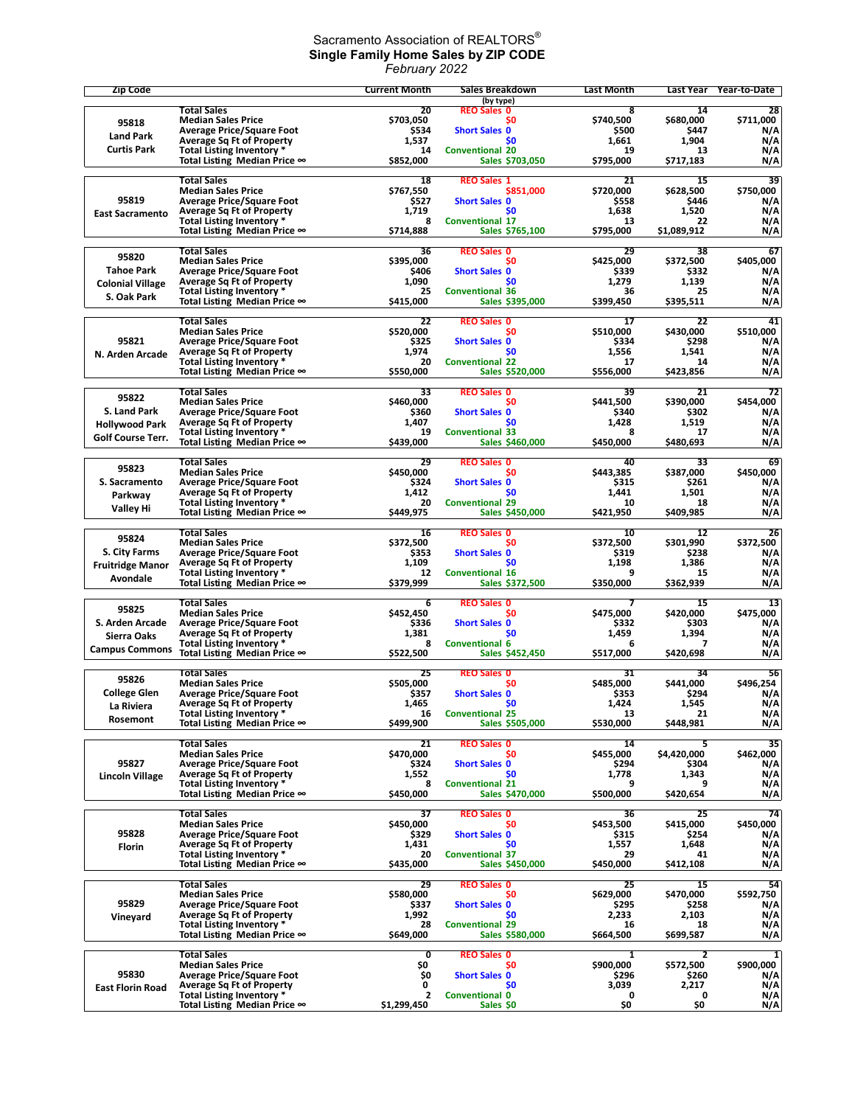## Sacramento Association of REALTORS $^\circ$ **Single Family Home Sales by ZIP CODE** *February 2022*

| <b>Total Sales</b><br>20<br><b>REO Sales 0</b><br>8<br>14<br>28<br>\$711,000<br><b>Median Sales Price</b><br>\$703,050<br>S <sub>0</sub><br>\$740,500<br>\$680,000<br>95818<br><b>Average Price/Square Foot</b><br>\$534<br><b>Short Sales 0</b><br>\$500<br>\$447<br>N/A<br><b>Land Park</b><br>\$0<br>1,904<br>N/A<br><b>Average Sq Ft of Property</b><br>1,537<br>1,661<br><b>Curtis Park</b><br><b>Conventional 20</b><br>N/A<br>Total Listing Inventory *<br>14<br>19<br>13<br>Total Listing Median Price $\infty$<br>\$852,000<br>Sales \$703,050<br>\$795,000<br>\$717,183<br>N/A<br>39<br><b>Total Sales</b><br>18<br><b>REO Sales 1</b><br>21<br>15<br><b>Median Sales Price</b><br>\$767,550<br>\$851,000<br>\$720,000<br>\$628,500<br>\$750,000<br>95819<br>\$527<br>N/A<br><b>Average Price/Square Foot</b><br><b>Short Sales 0</b><br>\$558<br>\$446<br>1,520<br><b>Average Sq Ft of Property</b><br>1,719<br>S0<br>1,638<br>N/A<br><b>East Sacramento</b><br><b>Conventional 17</b><br>Total Listing Inventory *<br>8<br>13<br>22<br>N/A<br>\$795,000<br>Total Listing Median Price ∞<br>\$714,888<br>Sales \$765,100<br>\$1,089,912<br>N/A<br><b>Total Sales</b><br><b>REO Sales 0</b><br>36<br>29<br>38<br>67<br>95820<br>\$395,000<br>\$425,000<br>\$372,500<br>\$405,000<br><b>Median Sales Price</b><br>S0<br><b>Tahoe Park</b><br><b>Average Price/Square Foot</b><br>\$406<br><b>Short Sales 0</b><br>\$339<br>\$332<br>N/A<br>N/A<br><b>Average Sq Ft of Property</b><br>1,090<br>\$0<br>1,279<br>1,139<br><b>Colonial Village</b><br>N/A<br>Total Listing Inventory *<br><b>Conventional 36</b><br>25<br>36<br>25<br>S. Oak Park<br>Total Listing Median Price ∞<br>\$415,000<br>Sales \$395,000<br>\$399,450<br>\$395,511<br>N/A<br><b>Total Sales</b><br>41<br>22<br><b>REO Sales 0</b><br>17<br>22<br>\$510,000<br><b>Median Sales Price</b><br>\$520,000<br>\$0<br>\$510,000<br>\$430,000<br>95821<br><b>Average Price/Square Foot</b><br>\$325<br><b>Short Sales 0</b><br>\$334<br>\$298<br>N/A<br>1,974<br>N/A<br><b>Average Sq Ft of Property</b><br>\$0<br>1,556<br>1,541<br>N. Arden Arcade<br><b>Conventional 22</b><br>Total Listing Inventory *<br>20<br>17<br>14<br>N/A<br>Total Listing Median Price ∞<br>\$550,000<br>Sales \$520,000<br>\$556,000<br>\$423,856<br>N/A<br><b>Total Sales</b><br>72<br>33<br><b>REO Sales 0</b><br>39<br>21<br>95822<br>\$460,000<br>\$441,500<br>\$390,000<br>\$454,000<br><b>Median Sales Price</b><br>\$0<br>S. Land Park<br><b>Average Price/Square Foot</b><br>\$360<br><b>Short Sales 0</b><br>\$340<br>\$302<br>N/A<br><b>Average Sq Ft of Property</b><br>1,407<br>\$O<br>1,428<br>1,519<br>N/A<br><b>Hollywood Park</b><br>N/A<br>Total Listing Inventory *<br>19<br><b>Conventional 33</b><br>8<br>17<br><b>Golf Course Terr.</b><br>Sales \$460,000<br>\$480,693<br>Total Listing Median Price $\infty$<br>\$439,000<br>\$450,000<br>N/A<br>69<br><b>Total Sales</b><br>29<br><b>REO Sales 0</b><br>40<br>33<br>95823<br><b>Median Sales Price</b><br>\$450,000<br>S <sub>0</sub><br>\$443,385<br>\$387,000<br>\$450,000<br>S. Sacramento<br><b>Average Price/Square Foot</b><br>\$324<br><b>Short Sales 0</b><br>\$315<br>\$261<br>N/A<br>\$0<br>N/A<br><b>Average Sq Ft of Property</b><br>1,412<br>1,441<br>1,501<br>Parkway<br><b>Conventional 29</b><br>Total Listing Inventory *<br>20<br>10<br>18<br>N/A<br>Valley Hi<br>Total Listing Median Price ∞<br>\$449,975<br>Sales \$450,000<br>\$421,950<br>\$409,985<br>N/A<br><b>Total Sales</b><br>16<br><b>REO Sales 0</b><br>10<br>12<br>26<br>95824<br>\$372,500<br>\$372,500<br>\$301,990<br>\$372,500<br><b>Median Sales Price</b><br>S0<br>S. City Farms<br>\$353<br>\$238<br>N/A<br><b>Average Price/Square Foot</b><br><b>Short Sales 0</b><br>\$319<br>1,109<br><b>Average Sq Ft of Property</b><br>S0<br>1,198<br>1,386<br>N/A<br><b>Fruitridge Manor</b><br>Total Listing Inventory *<br>12<br><b>Conventional 16</b><br>9<br>N/A<br>15<br>Avondale<br>\$379,999<br>Total Listing Median Price ∞<br>Sales \$372,500<br>\$350,000<br>\$362,939<br>N/A<br><b>Total Sales</b><br><b>REO Sales 0</b><br>13<br>6<br>15<br>7<br>95825<br>\$452,450<br>\$475,000<br>\$420,000<br>\$475,000<br><b>Median Sales Price</b><br>S0<br>S. Arden Arcade<br><b>Average Price/Square Foot</b><br>\$336<br><b>Short Sales 0</b><br>\$332<br>\$303<br>N/A<br>N/A<br><b>Average Sq Ft of Property</b><br>1,381<br>\$0<br>1,459<br>1,394<br>Sierra Oaks<br>N/A<br>Total Listing Inventory *<br><b>Conventional 6</b><br>8<br>6<br><b>Campus Commons</b><br>Total Listing Median Price ∞<br>\$522,500<br>\$517,000<br>\$420,698<br>Sales \$452,450<br>N/A<br>56<br>Total Sales<br>25<br><b>REO Sales 0</b><br>31<br>34<br>95826<br>\$496,254<br><b>Median Sales Price</b><br>\$505,000<br>\$0<br>\$485,000<br>\$441,000<br><b>College Glen</b><br>N/A<br><b>Average Price/Square Foot</b><br>\$357<br><b>Short Sales 0</b><br>\$353<br>\$294<br>Average Sq Ft of Property<br>N/A<br>1.465<br>\$0<br>1.424<br>1.545<br>La Riviera<br>N/A<br>Total Listing Inventory *<br>16<br><b>Conventional 25</b><br>13<br>21<br>Rosemont<br>Total Listing Median Price ∞<br>\$499,900<br>Sales \$505,000<br>\$530,000<br>\$448,981<br>N/A<br><b>Total Sales</b><br>35<br>21<br><b>REO Sales 0</b><br>14<br>5<br><b>Median Sales Price</b><br>\$470,000<br>\$455,000<br>\$4,420,000<br>\$462,000<br>S0<br>95827<br><b>Average Price/Square Foot</b><br>\$324<br><b>Short Sales 0</b><br>\$294<br>\$304<br>N/A<br><b>Average Sq Ft of Property</b><br>1,552<br>S <sub>0</sub><br>1,778<br>1,343<br>N/A<br><b>Lincoln Village</b><br>Total Listing Inventory *<br>N/A<br><b>Conventional 21</b><br>9<br>9<br>8<br>Total Listing Median Price ∞<br>N/A<br>\$450,000<br>Sales \$470,000<br>\$500,000<br>\$420,654<br><b>Total Sales</b><br>74<br>37<br><b>REO Sales 0</b><br>36<br>25<br>\$450,000<br><b>Median Sales Price</b><br>\$450,000<br>S <sub>0</sub><br>\$453,500<br>\$415,000<br>95828<br><b>Average Price/Square Foot</b><br>\$329<br><b>Short Sales 0</b><br>\$315<br>\$254<br>N/A<br>N/A<br><b>Average Sq Ft of Property</b><br>1,431<br>\$0<br>1,557<br>1,648<br>Florin<br>Total Listing Inventory *<br><b>Conventional 37</b><br>N/A<br>20<br>29<br>41<br>Total Listing Median Price ∞<br>\$435,000<br>Sales \$450,000<br>\$450,000<br>\$412,108<br>N/A<br>54<br><b>Total Sales</b><br>29<br><b>REO Sales 0</b><br>25<br>15<br><b>Median Sales Price</b><br>\$580,000<br>\$629,000<br>\$470,000<br>\$592,750<br>S0<br>95829<br><b>Average Price/Square Foot</b><br>\$337<br><b>Short Sales 0</b><br>\$295<br>\$258<br>N/A<br><b>Average Sq Ft of Property</b><br>N/A<br>1,992<br>S <sub>0</sub><br>2,233<br>2,103<br>Vineyard<br>Total Listing Inventory *<br>28<br><b>Conventional 29</b><br>N/A<br>16<br>18<br>Total Listing Median Price ∞<br>\$649,000<br>Sales \$580,000<br>\$664,500<br>\$699,587<br>N/A<br><b>Total Sales</b><br>0<br><b>REO Sales 0</b><br>1<br>2<br>1<br><b>Median Sales Price</b><br>\$900,000<br>\$572,500<br>\$900,000<br>Ş0<br>S <sub>0</sub><br>95830<br><b>Average Price/Square Foot</b><br>Ş0<br><b>Short Sales 0</b><br>\$296<br>\$260<br>N/A<br><b>Average Sq Ft of Property</b><br>N/A<br>0<br>\$0<br>3,039<br>2,217<br><b>East Florin Road</b><br>N/A<br>Total Listing Inventory *<br>$\mathbf{z}$<br><b>Conventional 0</b><br>0<br>0<br>Total Listing Median Price ∞<br>\$1,299,450<br>\$0<br>N/A<br>Sales \$0<br>\$0 | <b>Zip Code</b> | <b>Current Month</b> | Sales Breakdown | <b>Last Month</b> | <b>Last Year</b> | Year-to-Date |
|-------------------------------------------------------------------------------------------------------------------------------------------------------------------------------------------------------------------------------------------------------------------------------------------------------------------------------------------------------------------------------------------------------------------------------------------------------------------------------------------------------------------------------------------------------------------------------------------------------------------------------------------------------------------------------------------------------------------------------------------------------------------------------------------------------------------------------------------------------------------------------------------------------------------------------------------------------------------------------------------------------------------------------------------------------------------------------------------------------------------------------------------------------------------------------------------------------------------------------------------------------------------------------------------------------------------------------------------------------------------------------------------------------------------------------------------------------------------------------------------------------------------------------------------------------------------------------------------------------------------------------------------------------------------------------------------------------------------------------------------------------------------------------------------------------------------------------------------------------------------------------------------------------------------------------------------------------------------------------------------------------------------------------------------------------------------------------------------------------------------------------------------------------------------------------------------------------------------------------------------------------------------------------------------------------------------------------------------------------------------------------------------------------------------------------------------------------------------------------------------------------------------------------------------------------------------------------------------------------------------------------------------------------------------------------------------------------------------------------------------------------------------------------------------------------------------------------------------------------------------------------------------------------------------------------------------------------------------------------------------------------------------------------------------------------------------------------------------------------------------------------------------------------------------------------------------------------------------------------------------------------------------------------------------------------------------------------------------------------------------------------------------------------------------------------------------------------------------------------------------------------------------------------------------------------------------------------------------------------------------------------------------------------------------------------------------------------------------------------------------------------------------------------------------------------------------------------------------------------------------------------------------------------------------------------------------------------------------------------------------------------------------------------------------------------------------------------------------------------------------------------------------------------------------------------------------------------------------------------------------------------------------------------------------------------------------------------------------------------------------------------------------------------------------------------------------------------------------------------------------------------------------------------------------------------------------------------------------------------------------------------------------------------------------------------------------------------------------------------------------------------------------------------------------------------------------------------------------------------------------------------------------------------------------------------------------------------------------------------------------------------------------------------------------------------------------------------------------------------------------------------------------------------------------------------------------------------------------------------------------------------------------------------------------------------------------------------------------------------------------------------------------------------------------------------------------------------------------------------------------------------------------------------------------------------------------------------------------------------------------------------------------------------------------------------------------------------------------------------------------------------------------------------------------------------------------------------------------------------------------------------------------------------------------------------------------------------------------------------------------------------------------------------------------------------------------------------------------------------------------------------------------------------------------------------------------------------------------------------------------------------------------------------------------------------------------------------------------------------------------------------------------------------------------------------------------------------------------------------------------------------------------------------------------------------------------------------------------------------------------------------------------------------------------------------------------------------------------------------------------------------------------------------------------------------------------------------------------------------------------------------------------------------------------------------------------------------------------------------------------------------------------------------------------------------------------------------------------------------------------------------------------------------------------------------------------------------------------------------------------------------------------------------------------------------------------------------------------------------------------------------------------------------------------------------------------------------------------------------------|-----------------|----------------------|-----------------|-------------------|------------------|--------------|
|                                                                                                                                                                                                                                                                                                                                                                                                                                                                                                                                                                                                                                                                                                                                                                                                                                                                                                                                                                                                                                                                                                                                                                                                                                                                                                                                                                                                                                                                                                                                                                                                                                                                                                                                                                                                                                                                                                                                                                                                                                                                                                                                                                                                                                                                                                                                                                                                                                                                                                                                                                                                                                                                                                                                                                                                                                                                                                                                                                                                                                                                                                                                                                                                                                                                                                                                                                                                                                                                                                                                                                                                                                                                                                                                                                                                                                                                                                                                                                                                                                                                                                                                                                                                                                                                                                                                                                                                                                                                                                                                                                                                                                                                                                                                                                                                                                                                                                                                                                                                                                                                                                                                                                                                                                                                                                                                                                                                                                                                                                                                                                                                                                                                                                                                                                                                                                                                                                                                                                                                                                                                                                                                                                                                                                                                                                                                                                                                                                                                                                                                                                                                                                                                                                                                                                                                                                                                                                                                                                                                                                                                                                                                                                                                                                                                                                                                                                                                                                                                                     |                 |                      | (by type)       |                   |                  |              |
|                                                                                                                                                                                                                                                                                                                                                                                                                                                                                                                                                                                                                                                                                                                                                                                                                                                                                                                                                                                                                                                                                                                                                                                                                                                                                                                                                                                                                                                                                                                                                                                                                                                                                                                                                                                                                                                                                                                                                                                                                                                                                                                                                                                                                                                                                                                                                                                                                                                                                                                                                                                                                                                                                                                                                                                                                                                                                                                                                                                                                                                                                                                                                                                                                                                                                                                                                                                                                                                                                                                                                                                                                                                                                                                                                                                                                                                                                                                                                                                                                                                                                                                                                                                                                                                                                                                                                                                                                                                                                                                                                                                                                                                                                                                                                                                                                                                                                                                                                                                                                                                                                                                                                                                                                                                                                                                                                                                                                                                                                                                                                                                                                                                                                                                                                                                                                                                                                                                                                                                                                                                                                                                                                                                                                                                                                                                                                                                                                                                                                                                                                                                                                                                                                                                                                                                                                                                                                                                                                                                                                                                                                                                                                                                                                                                                                                                                                                                                                                                                                     |                 |                      |                 |                   |                  |              |
|                                                                                                                                                                                                                                                                                                                                                                                                                                                                                                                                                                                                                                                                                                                                                                                                                                                                                                                                                                                                                                                                                                                                                                                                                                                                                                                                                                                                                                                                                                                                                                                                                                                                                                                                                                                                                                                                                                                                                                                                                                                                                                                                                                                                                                                                                                                                                                                                                                                                                                                                                                                                                                                                                                                                                                                                                                                                                                                                                                                                                                                                                                                                                                                                                                                                                                                                                                                                                                                                                                                                                                                                                                                                                                                                                                                                                                                                                                                                                                                                                                                                                                                                                                                                                                                                                                                                                                                                                                                                                                                                                                                                                                                                                                                                                                                                                                                                                                                                                                                                                                                                                                                                                                                                                                                                                                                                                                                                                                                                                                                                                                                                                                                                                                                                                                                                                                                                                                                                                                                                                                                                                                                                                                                                                                                                                                                                                                                                                                                                                                                                                                                                                                                                                                                                                                                                                                                                                                                                                                                                                                                                                                                                                                                                                                                                                                                                                                                                                                                                                     |                 |                      |                 |                   |                  |              |
|                                                                                                                                                                                                                                                                                                                                                                                                                                                                                                                                                                                                                                                                                                                                                                                                                                                                                                                                                                                                                                                                                                                                                                                                                                                                                                                                                                                                                                                                                                                                                                                                                                                                                                                                                                                                                                                                                                                                                                                                                                                                                                                                                                                                                                                                                                                                                                                                                                                                                                                                                                                                                                                                                                                                                                                                                                                                                                                                                                                                                                                                                                                                                                                                                                                                                                                                                                                                                                                                                                                                                                                                                                                                                                                                                                                                                                                                                                                                                                                                                                                                                                                                                                                                                                                                                                                                                                                                                                                                                                                                                                                                                                                                                                                                                                                                                                                                                                                                                                                                                                                                                                                                                                                                                                                                                                                                                                                                                                                                                                                                                                                                                                                                                                                                                                                                                                                                                                                                                                                                                                                                                                                                                                                                                                                                                                                                                                                                                                                                                                                                                                                                                                                                                                                                                                                                                                                                                                                                                                                                                                                                                                                                                                                                                                                                                                                                                                                                                                                                                     |                 |                      |                 |                   |                  |              |
|                                                                                                                                                                                                                                                                                                                                                                                                                                                                                                                                                                                                                                                                                                                                                                                                                                                                                                                                                                                                                                                                                                                                                                                                                                                                                                                                                                                                                                                                                                                                                                                                                                                                                                                                                                                                                                                                                                                                                                                                                                                                                                                                                                                                                                                                                                                                                                                                                                                                                                                                                                                                                                                                                                                                                                                                                                                                                                                                                                                                                                                                                                                                                                                                                                                                                                                                                                                                                                                                                                                                                                                                                                                                                                                                                                                                                                                                                                                                                                                                                                                                                                                                                                                                                                                                                                                                                                                                                                                                                                                                                                                                                                                                                                                                                                                                                                                                                                                                                                                                                                                                                                                                                                                                                                                                                                                                                                                                                                                                                                                                                                                                                                                                                                                                                                                                                                                                                                                                                                                                                                                                                                                                                                                                                                                                                                                                                                                                                                                                                                                                                                                                                                                                                                                                                                                                                                                                                                                                                                                                                                                                                                                                                                                                                                                                                                                                                                                                                                                                                     |                 |                      |                 |                   |                  |              |
|                                                                                                                                                                                                                                                                                                                                                                                                                                                                                                                                                                                                                                                                                                                                                                                                                                                                                                                                                                                                                                                                                                                                                                                                                                                                                                                                                                                                                                                                                                                                                                                                                                                                                                                                                                                                                                                                                                                                                                                                                                                                                                                                                                                                                                                                                                                                                                                                                                                                                                                                                                                                                                                                                                                                                                                                                                                                                                                                                                                                                                                                                                                                                                                                                                                                                                                                                                                                                                                                                                                                                                                                                                                                                                                                                                                                                                                                                                                                                                                                                                                                                                                                                                                                                                                                                                                                                                                                                                                                                                                                                                                                                                                                                                                                                                                                                                                                                                                                                                                                                                                                                                                                                                                                                                                                                                                                                                                                                                                                                                                                                                                                                                                                                                                                                                                                                                                                                                                                                                                                                                                                                                                                                                                                                                                                                                                                                                                                                                                                                                                                                                                                                                                                                                                                                                                                                                                                                                                                                                                                                                                                                                                                                                                                                                                                                                                                                                                                                                                                                     |                 |                      |                 |                   |                  |              |
|                                                                                                                                                                                                                                                                                                                                                                                                                                                                                                                                                                                                                                                                                                                                                                                                                                                                                                                                                                                                                                                                                                                                                                                                                                                                                                                                                                                                                                                                                                                                                                                                                                                                                                                                                                                                                                                                                                                                                                                                                                                                                                                                                                                                                                                                                                                                                                                                                                                                                                                                                                                                                                                                                                                                                                                                                                                                                                                                                                                                                                                                                                                                                                                                                                                                                                                                                                                                                                                                                                                                                                                                                                                                                                                                                                                                                                                                                                                                                                                                                                                                                                                                                                                                                                                                                                                                                                                                                                                                                                                                                                                                                                                                                                                                                                                                                                                                                                                                                                                                                                                                                                                                                                                                                                                                                                                                                                                                                                                                                                                                                                                                                                                                                                                                                                                                                                                                                                                                                                                                                                                                                                                                                                                                                                                                                                                                                                                                                                                                                                                                                                                                                                                                                                                                                                                                                                                                                                                                                                                                                                                                                                                                                                                                                                                                                                                                                                                                                                                                                     |                 |                      |                 |                   |                  |              |
|                                                                                                                                                                                                                                                                                                                                                                                                                                                                                                                                                                                                                                                                                                                                                                                                                                                                                                                                                                                                                                                                                                                                                                                                                                                                                                                                                                                                                                                                                                                                                                                                                                                                                                                                                                                                                                                                                                                                                                                                                                                                                                                                                                                                                                                                                                                                                                                                                                                                                                                                                                                                                                                                                                                                                                                                                                                                                                                                                                                                                                                                                                                                                                                                                                                                                                                                                                                                                                                                                                                                                                                                                                                                                                                                                                                                                                                                                                                                                                                                                                                                                                                                                                                                                                                                                                                                                                                                                                                                                                                                                                                                                                                                                                                                                                                                                                                                                                                                                                                                                                                                                                                                                                                                                                                                                                                                                                                                                                                                                                                                                                                                                                                                                                                                                                                                                                                                                                                                                                                                                                                                                                                                                                                                                                                                                                                                                                                                                                                                                                                                                                                                                                                                                                                                                                                                                                                                                                                                                                                                                                                                                                                                                                                                                                                                                                                                                                                                                                                                                     |                 |                      |                 |                   |                  |              |
|                                                                                                                                                                                                                                                                                                                                                                                                                                                                                                                                                                                                                                                                                                                                                                                                                                                                                                                                                                                                                                                                                                                                                                                                                                                                                                                                                                                                                                                                                                                                                                                                                                                                                                                                                                                                                                                                                                                                                                                                                                                                                                                                                                                                                                                                                                                                                                                                                                                                                                                                                                                                                                                                                                                                                                                                                                                                                                                                                                                                                                                                                                                                                                                                                                                                                                                                                                                                                                                                                                                                                                                                                                                                                                                                                                                                                                                                                                                                                                                                                                                                                                                                                                                                                                                                                                                                                                                                                                                                                                                                                                                                                                                                                                                                                                                                                                                                                                                                                                                                                                                                                                                                                                                                                                                                                                                                                                                                                                                                                                                                                                                                                                                                                                                                                                                                                                                                                                                                                                                                                                                                                                                                                                                                                                                                                                                                                                                                                                                                                                                                                                                                                                                                                                                                                                                                                                                                                                                                                                                                                                                                                                                                                                                                                                                                                                                                                                                                                                                                                     |                 |                      |                 |                   |                  |              |
|                                                                                                                                                                                                                                                                                                                                                                                                                                                                                                                                                                                                                                                                                                                                                                                                                                                                                                                                                                                                                                                                                                                                                                                                                                                                                                                                                                                                                                                                                                                                                                                                                                                                                                                                                                                                                                                                                                                                                                                                                                                                                                                                                                                                                                                                                                                                                                                                                                                                                                                                                                                                                                                                                                                                                                                                                                                                                                                                                                                                                                                                                                                                                                                                                                                                                                                                                                                                                                                                                                                                                                                                                                                                                                                                                                                                                                                                                                                                                                                                                                                                                                                                                                                                                                                                                                                                                                                                                                                                                                                                                                                                                                                                                                                                                                                                                                                                                                                                                                                                                                                                                                                                                                                                                                                                                                                                                                                                                                                                                                                                                                                                                                                                                                                                                                                                                                                                                                                                                                                                                                                                                                                                                                                                                                                                                                                                                                                                                                                                                                                                                                                                                                                                                                                                                                                                                                                                                                                                                                                                                                                                                                                                                                                                                                                                                                                                                                                                                                                                                     |                 |                      |                 |                   |                  |              |
|                                                                                                                                                                                                                                                                                                                                                                                                                                                                                                                                                                                                                                                                                                                                                                                                                                                                                                                                                                                                                                                                                                                                                                                                                                                                                                                                                                                                                                                                                                                                                                                                                                                                                                                                                                                                                                                                                                                                                                                                                                                                                                                                                                                                                                                                                                                                                                                                                                                                                                                                                                                                                                                                                                                                                                                                                                                                                                                                                                                                                                                                                                                                                                                                                                                                                                                                                                                                                                                                                                                                                                                                                                                                                                                                                                                                                                                                                                                                                                                                                                                                                                                                                                                                                                                                                                                                                                                                                                                                                                                                                                                                                                                                                                                                                                                                                                                                                                                                                                                                                                                                                                                                                                                                                                                                                                                                                                                                                                                                                                                                                                                                                                                                                                                                                                                                                                                                                                                                                                                                                                                                                                                                                                                                                                                                                                                                                                                                                                                                                                                                                                                                                                                                                                                                                                                                                                                                                                                                                                                                                                                                                                                                                                                                                                                                                                                                                                                                                                                                                     |                 |                      |                 |                   |                  |              |
|                                                                                                                                                                                                                                                                                                                                                                                                                                                                                                                                                                                                                                                                                                                                                                                                                                                                                                                                                                                                                                                                                                                                                                                                                                                                                                                                                                                                                                                                                                                                                                                                                                                                                                                                                                                                                                                                                                                                                                                                                                                                                                                                                                                                                                                                                                                                                                                                                                                                                                                                                                                                                                                                                                                                                                                                                                                                                                                                                                                                                                                                                                                                                                                                                                                                                                                                                                                                                                                                                                                                                                                                                                                                                                                                                                                                                                                                                                                                                                                                                                                                                                                                                                                                                                                                                                                                                                                                                                                                                                                                                                                                                                                                                                                                                                                                                                                                                                                                                                                                                                                                                                                                                                                                                                                                                                                                                                                                                                                                                                                                                                                                                                                                                                                                                                                                                                                                                                                                                                                                                                                                                                                                                                                                                                                                                                                                                                                                                                                                                                                                                                                                                                                                                                                                                                                                                                                                                                                                                                                                                                                                                                                                                                                                                                                                                                                                                                                                                                                                                     |                 |                      |                 |                   |                  |              |
|                                                                                                                                                                                                                                                                                                                                                                                                                                                                                                                                                                                                                                                                                                                                                                                                                                                                                                                                                                                                                                                                                                                                                                                                                                                                                                                                                                                                                                                                                                                                                                                                                                                                                                                                                                                                                                                                                                                                                                                                                                                                                                                                                                                                                                                                                                                                                                                                                                                                                                                                                                                                                                                                                                                                                                                                                                                                                                                                                                                                                                                                                                                                                                                                                                                                                                                                                                                                                                                                                                                                                                                                                                                                                                                                                                                                                                                                                                                                                                                                                                                                                                                                                                                                                                                                                                                                                                                                                                                                                                                                                                                                                                                                                                                                                                                                                                                                                                                                                                                                                                                                                                                                                                                                                                                                                                                                                                                                                                                                                                                                                                                                                                                                                                                                                                                                                                                                                                                                                                                                                                                                                                                                                                                                                                                                                                                                                                                                                                                                                                                                                                                                                                                                                                                                                                                                                                                                                                                                                                                                                                                                                                                                                                                                                                                                                                                                                                                                                                                                                     |                 |                      |                 |                   |                  |              |
|                                                                                                                                                                                                                                                                                                                                                                                                                                                                                                                                                                                                                                                                                                                                                                                                                                                                                                                                                                                                                                                                                                                                                                                                                                                                                                                                                                                                                                                                                                                                                                                                                                                                                                                                                                                                                                                                                                                                                                                                                                                                                                                                                                                                                                                                                                                                                                                                                                                                                                                                                                                                                                                                                                                                                                                                                                                                                                                                                                                                                                                                                                                                                                                                                                                                                                                                                                                                                                                                                                                                                                                                                                                                                                                                                                                                                                                                                                                                                                                                                                                                                                                                                                                                                                                                                                                                                                                                                                                                                                                                                                                                                                                                                                                                                                                                                                                                                                                                                                                                                                                                                                                                                                                                                                                                                                                                                                                                                                                                                                                                                                                                                                                                                                                                                                                                                                                                                                                                                                                                                                                                                                                                                                                                                                                                                                                                                                                                                                                                                                                                                                                                                                                                                                                                                                                                                                                                                                                                                                                                                                                                                                                                                                                                                                                                                                                                                                                                                                                                                     |                 |                      |                 |                   |                  |              |
|                                                                                                                                                                                                                                                                                                                                                                                                                                                                                                                                                                                                                                                                                                                                                                                                                                                                                                                                                                                                                                                                                                                                                                                                                                                                                                                                                                                                                                                                                                                                                                                                                                                                                                                                                                                                                                                                                                                                                                                                                                                                                                                                                                                                                                                                                                                                                                                                                                                                                                                                                                                                                                                                                                                                                                                                                                                                                                                                                                                                                                                                                                                                                                                                                                                                                                                                                                                                                                                                                                                                                                                                                                                                                                                                                                                                                                                                                                                                                                                                                                                                                                                                                                                                                                                                                                                                                                                                                                                                                                                                                                                                                                                                                                                                                                                                                                                                                                                                                                                                                                                                                                                                                                                                                                                                                                                                                                                                                                                                                                                                                                                                                                                                                                                                                                                                                                                                                                                                                                                                                                                                                                                                                                                                                                                                                                                                                                                                                                                                                                                                                                                                                                                                                                                                                                                                                                                                                                                                                                                                                                                                                                                                                                                                                                                                                                                                                                                                                                                                                     |                 |                      |                 |                   |                  |              |
|                                                                                                                                                                                                                                                                                                                                                                                                                                                                                                                                                                                                                                                                                                                                                                                                                                                                                                                                                                                                                                                                                                                                                                                                                                                                                                                                                                                                                                                                                                                                                                                                                                                                                                                                                                                                                                                                                                                                                                                                                                                                                                                                                                                                                                                                                                                                                                                                                                                                                                                                                                                                                                                                                                                                                                                                                                                                                                                                                                                                                                                                                                                                                                                                                                                                                                                                                                                                                                                                                                                                                                                                                                                                                                                                                                                                                                                                                                                                                                                                                                                                                                                                                                                                                                                                                                                                                                                                                                                                                                                                                                                                                                                                                                                                                                                                                                                                                                                                                                                                                                                                                                                                                                                                                                                                                                                                                                                                                                                                                                                                                                                                                                                                                                                                                                                                                                                                                                                                                                                                                                                                                                                                                                                                                                                                                                                                                                                                                                                                                                                                                                                                                                                                                                                                                                                                                                                                                                                                                                                                                                                                                                                                                                                                                                                                                                                                                                                                                                                                                     |                 |                      |                 |                   |                  |              |
|                                                                                                                                                                                                                                                                                                                                                                                                                                                                                                                                                                                                                                                                                                                                                                                                                                                                                                                                                                                                                                                                                                                                                                                                                                                                                                                                                                                                                                                                                                                                                                                                                                                                                                                                                                                                                                                                                                                                                                                                                                                                                                                                                                                                                                                                                                                                                                                                                                                                                                                                                                                                                                                                                                                                                                                                                                                                                                                                                                                                                                                                                                                                                                                                                                                                                                                                                                                                                                                                                                                                                                                                                                                                                                                                                                                                                                                                                                                                                                                                                                                                                                                                                                                                                                                                                                                                                                                                                                                                                                                                                                                                                                                                                                                                                                                                                                                                                                                                                                                                                                                                                                                                                                                                                                                                                                                                                                                                                                                                                                                                                                                                                                                                                                                                                                                                                                                                                                                                                                                                                                                                                                                                                                                                                                                                                                                                                                                                                                                                                                                                                                                                                                                                                                                                                                                                                                                                                                                                                                                                                                                                                                                                                                                                                                                                                                                                                                                                                                                                                     |                 |                      |                 |                   |                  |              |
|                                                                                                                                                                                                                                                                                                                                                                                                                                                                                                                                                                                                                                                                                                                                                                                                                                                                                                                                                                                                                                                                                                                                                                                                                                                                                                                                                                                                                                                                                                                                                                                                                                                                                                                                                                                                                                                                                                                                                                                                                                                                                                                                                                                                                                                                                                                                                                                                                                                                                                                                                                                                                                                                                                                                                                                                                                                                                                                                                                                                                                                                                                                                                                                                                                                                                                                                                                                                                                                                                                                                                                                                                                                                                                                                                                                                                                                                                                                                                                                                                                                                                                                                                                                                                                                                                                                                                                                                                                                                                                                                                                                                                                                                                                                                                                                                                                                                                                                                                                                                                                                                                                                                                                                                                                                                                                                                                                                                                                                                                                                                                                                                                                                                                                                                                                                                                                                                                                                                                                                                                                                                                                                                                                                                                                                                                                                                                                                                                                                                                                                                                                                                                                                                                                                                                                                                                                                                                                                                                                                                                                                                                                                                                                                                                                                                                                                                                                                                                                                                                     |                 |                      |                 |                   |                  |              |
|                                                                                                                                                                                                                                                                                                                                                                                                                                                                                                                                                                                                                                                                                                                                                                                                                                                                                                                                                                                                                                                                                                                                                                                                                                                                                                                                                                                                                                                                                                                                                                                                                                                                                                                                                                                                                                                                                                                                                                                                                                                                                                                                                                                                                                                                                                                                                                                                                                                                                                                                                                                                                                                                                                                                                                                                                                                                                                                                                                                                                                                                                                                                                                                                                                                                                                                                                                                                                                                                                                                                                                                                                                                                                                                                                                                                                                                                                                                                                                                                                                                                                                                                                                                                                                                                                                                                                                                                                                                                                                                                                                                                                                                                                                                                                                                                                                                                                                                                                                                                                                                                                                                                                                                                                                                                                                                                                                                                                                                                                                                                                                                                                                                                                                                                                                                                                                                                                                                                                                                                                                                                                                                                                                                                                                                                                                                                                                                                                                                                                                                                                                                                                                                                                                                                                                                                                                                                                                                                                                                                                                                                                                                                                                                                                                                                                                                                                                                                                                                                                     |                 |                      |                 |                   |                  |              |
|                                                                                                                                                                                                                                                                                                                                                                                                                                                                                                                                                                                                                                                                                                                                                                                                                                                                                                                                                                                                                                                                                                                                                                                                                                                                                                                                                                                                                                                                                                                                                                                                                                                                                                                                                                                                                                                                                                                                                                                                                                                                                                                                                                                                                                                                                                                                                                                                                                                                                                                                                                                                                                                                                                                                                                                                                                                                                                                                                                                                                                                                                                                                                                                                                                                                                                                                                                                                                                                                                                                                                                                                                                                                                                                                                                                                                                                                                                                                                                                                                                                                                                                                                                                                                                                                                                                                                                                                                                                                                                                                                                                                                                                                                                                                                                                                                                                                                                                                                                                                                                                                                                                                                                                                                                                                                                                                                                                                                                                                                                                                                                                                                                                                                                                                                                                                                                                                                                                                                                                                                                                                                                                                                                                                                                                                                                                                                                                                                                                                                                                                                                                                                                                                                                                                                                                                                                                                                                                                                                                                                                                                                                                                                                                                                                                                                                                                                                                                                                                                                     |                 |                      |                 |                   |                  |              |
|                                                                                                                                                                                                                                                                                                                                                                                                                                                                                                                                                                                                                                                                                                                                                                                                                                                                                                                                                                                                                                                                                                                                                                                                                                                                                                                                                                                                                                                                                                                                                                                                                                                                                                                                                                                                                                                                                                                                                                                                                                                                                                                                                                                                                                                                                                                                                                                                                                                                                                                                                                                                                                                                                                                                                                                                                                                                                                                                                                                                                                                                                                                                                                                                                                                                                                                                                                                                                                                                                                                                                                                                                                                                                                                                                                                                                                                                                                                                                                                                                                                                                                                                                                                                                                                                                                                                                                                                                                                                                                                                                                                                                                                                                                                                                                                                                                                                                                                                                                                                                                                                                                                                                                                                                                                                                                                                                                                                                                                                                                                                                                                                                                                                                                                                                                                                                                                                                                                                                                                                                                                                                                                                                                                                                                                                                                                                                                                                                                                                                                                                                                                                                                                                                                                                                                                                                                                                                                                                                                                                                                                                                                                                                                                                                                                                                                                                                                                                                                                                                     |                 |                      |                 |                   |                  |              |
|                                                                                                                                                                                                                                                                                                                                                                                                                                                                                                                                                                                                                                                                                                                                                                                                                                                                                                                                                                                                                                                                                                                                                                                                                                                                                                                                                                                                                                                                                                                                                                                                                                                                                                                                                                                                                                                                                                                                                                                                                                                                                                                                                                                                                                                                                                                                                                                                                                                                                                                                                                                                                                                                                                                                                                                                                                                                                                                                                                                                                                                                                                                                                                                                                                                                                                                                                                                                                                                                                                                                                                                                                                                                                                                                                                                                                                                                                                                                                                                                                                                                                                                                                                                                                                                                                                                                                                                                                                                                                                                                                                                                                                                                                                                                                                                                                                                                                                                                                                                                                                                                                                                                                                                                                                                                                                                                                                                                                                                                                                                                                                                                                                                                                                                                                                                                                                                                                                                                                                                                                                                                                                                                                                                                                                                                                                                                                                                                                                                                                                                                                                                                                                                                                                                                                                                                                                                                                                                                                                                                                                                                                                                                                                                                                                                                                                                                                                                                                                                                                     |                 |                      |                 |                   |                  |              |
|                                                                                                                                                                                                                                                                                                                                                                                                                                                                                                                                                                                                                                                                                                                                                                                                                                                                                                                                                                                                                                                                                                                                                                                                                                                                                                                                                                                                                                                                                                                                                                                                                                                                                                                                                                                                                                                                                                                                                                                                                                                                                                                                                                                                                                                                                                                                                                                                                                                                                                                                                                                                                                                                                                                                                                                                                                                                                                                                                                                                                                                                                                                                                                                                                                                                                                                                                                                                                                                                                                                                                                                                                                                                                                                                                                                                                                                                                                                                                                                                                                                                                                                                                                                                                                                                                                                                                                                                                                                                                                                                                                                                                                                                                                                                                                                                                                                                                                                                                                                                                                                                                                                                                                                                                                                                                                                                                                                                                                                                                                                                                                                                                                                                                                                                                                                                                                                                                                                                                                                                                                                                                                                                                                                                                                                                                                                                                                                                                                                                                                                                                                                                                                                                                                                                                                                                                                                                                                                                                                                                                                                                                                                                                                                                                                                                                                                                                                                                                                                                                     |                 |                      |                 |                   |                  |              |
|                                                                                                                                                                                                                                                                                                                                                                                                                                                                                                                                                                                                                                                                                                                                                                                                                                                                                                                                                                                                                                                                                                                                                                                                                                                                                                                                                                                                                                                                                                                                                                                                                                                                                                                                                                                                                                                                                                                                                                                                                                                                                                                                                                                                                                                                                                                                                                                                                                                                                                                                                                                                                                                                                                                                                                                                                                                                                                                                                                                                                                                                                                                                                                                                                                                                                                                                                                                                                                                                                                                                                                                                                                                                                                                                                                                                                                                                                                                                                                                                                                                                                                                                                                                                                                                                                                                                                                                                                                                                                                                                                                                                                                                                                                                                                                                                                                                                                                                                                                                                                                                                                                                                                                                                                                                                                                                                                                                                                                                                                                                                                                                                                                                                                                                                                                                                                                                                                                                                                                                                                                                                                                                                                                                                                                                                                                                                                                                                                                                                                                                                                                                                                                                                                                                                                                                                                                                                                                                                                                                                                                                                                                                                                                                                                                                                                                                                                                                                                                                                                     |                 |                      |                 |                   |                  |              |
|                                                                                                                                                                                                                                                                                                                                                                                                                                                                                                                                                                                                                                                                                                                                                                                                                                                                                                                                                                                                                                                                                                                                                                                                                                                                                                                                                                                                                                                                                                                                                                                                                                                                                                                                                                                                                                                                                                                                                                                                                                                                                                                                                                                                                                                                                                                                                                                                                                                                                                                                                                                                                                                                                                                                                                                                                                                                                                                                                                                                                                                                                                                                                                                                                                                                                                                                                                                                                                                                                                                                                                                                                                                                                                                                                                                                                                                                                                                                                                                                                                                                                                                                                                                                                                                                                                                                                                                                                                                                                                                                                                                                                                                                                                                                                                                                                                                                                                                                                                                                                                                                                                                                                                                                                                                                                                                                                                                                                                                                                                                                                                                                                                                                                                                                                                                                                                                                                                                                                                                                                                                                                                                                                                                                                                                                                                                                                                                                                                                                                                                                                                                                                                                                                                                                                                                                                                                                                                                                                                                                                                                                                                                                                                                                                                                                                                                                                                                                                                                                                     |                 |                      |                 |                   |                  |              |
|                                                                                                                                                                                                                                                                                                                                                                                                                                                                                                                                                                                                                                                                                                                                                                                                                                                                                                                                                                                                                                                                                                                                                                                                                                                                                                                                                                                                                                                                                                                                                                                                                                                                                                                                                                                                                                                                                                                                                                                                                                                                                                                                                                                                                                                                                                                                                                                                                                                                                                                                                                                                                                                                                                                                                                                                                                                                                                                                                                                                                                                                                                                                                                                                                                                                                                                                                                                                                                                                                                                                                                                                                                                                                                                                                                                                                                                                                                                                                                                                                                                                                                                                                                                                                                                                                                                                                                                                                                                                                                                                                                                                                                                                                                                                                                                                                                                                                                                                                                                                                                                                                                                                                                                                                                                                                                                                                                                                                                                                                                                                                                                                                                                                                                                                                                                                                                                                                                                                                                                                                                                                                                                                                                                                                                                                                                                                                                                                                                                                                                                                                                                                                                                                                                                                                                                                                                                                                                                                                                                                                                                                                                                                                                                                                                                                                                                                                                                                                                                                                     |                 |                      |                 |                   |                  |              |
|                                                                                                                                                                                                                                                                                                                                                                                                                                                                                                                                                                                                                                                                                                                                                                                                                                                                                                                                                                                                                                                                                                                                                                                                                                                                                                                                                                                                                                                                                                                                                                                                                                                                                                                                                                                                                                                                                                                                                                                                                                                                                                                                                                                                                                                                                                                                                                                                                                                                                                                                                                                                                                                                                                                                                                                                                                                                                                                                                                                                                                                                                                                                                                                                                                                                                                                                                                                                                                                                                                                                                                                                                                                                                                                                                                                                                                                                                                                                                                                                                                                                                                                                                                                                                                                                                                                                                                                                                                                                                                                                                                                                                                                                                                                                                                                                                                                                                                                                                                                                                                                                                                                                                                                                                                                                                                                                                                                                                                                                                                                                                                                                                                                                                                                                                                                                                                                                                                                                                                                                                                                                                                                                                                                                                                                                                                                                                                                                                                                                                                                                                                                                                                                                                                                                                                                                                                                                                                                                                                                                                                                                                                                                                                                                                                                                                                                                                                                                                                                                                     |                 |                      |                 |                   |                  |              |
|                                                                                                                                                                                                                                                                                                                                                                                                                                                                                                                                                                                                                                                                                                                                                                                                                                                                                                                                                                                                                                                                                                                                                                                                                                                                                                                                                                                                                                                                                                                                                                                                                                                                                                                                                                                                                                                                                                                                                                                                                                                                                                                                                                                                                                                                                                                                                                                                                                                                                                                                                                                                                                                                                                                                                                                                                                                                                                                                                                                                                                                                                                                                                                                                                                                                                                                                                                                                                                                                                                                                                                                                                                                                                                                                                                                                                                                                                                                                                                                                                                                                                                                                                                                                                                                                                                                                                                                                                                                                                                                                                                                                                                                                                                                                                                                                                                                                                                                                                                                                                                                                                                                                                                                                                                                                                                                                                                                                                                                                                                                                                                                                                                                                                                                                                                                                                                                                                                                                                                                                                                                                                                                                                                                                                                                                                                                                                                                                                                                                                                                                                                                                                                                                                                                                                                                                                                                                                                                                                                                                                                                                                                                                                                                                                                                                                                                                                                                                                                                                                     |                 |                      |                 |                   |                  |              |
|                                                                                                                                                                                                                                                                                                                                                                                                                                                                                                                                                                                                                                                                                                                                                                                                                                                                                                                                                                                                                                                                                                                                                                                                                                                                                                                                                                                                                                                                                                                                                                                                                                                                                                                                                                                                                                                                                                                                                                                                                                                                                                                                                                                                                                                                                                                                                                                                                                                                                                                                                                                                                                                                                                                                                                                                                                                                                                                                                                                                                                                                                                                                                                                                                                                                                                                                                                                                                                                                                                                                                                                                                                                                                                                                                                                                                                                                                                                                                                                                                                                                                                                                                                                                                                                                                                                                                                                                                                                                                                                                                                                                                                                                                                                                                                                                                                                                                                                                                                                                                                                                                                                                                                                                                                                                                                                                                                                                                                                                                                                                                                                                                                                                                                                                                                                                                                                                                                                                                                                                                                                                                                                                                                                                                                                                                                                                                                                                                                                                                                                                                                                                                                                                                                                                                                                                                                                                                                                                                                                                                                                                                                                                                                                                                                                                                                                                                                                                                                                                                     |                 |                      |                 |                   |                  |              |
|                                                                                                                                                                                                                                                                                                                                                                                                                                                                                                                                                                                                                                                                                                                                                                                                                                                                                                                                                                                                                                                                                                                                                                                                                                                                                                                                                                                                                                                                                                                                                                                                                                                                                                                                                                                                                                                                                                                                                                                                                                                                                                                                                                                                                                                                                                                                                                                                                                                                                                                                                                                                                                                                                                                                                                                                                                                                                                                                                                                                                                                                                                                                                                                                                                                                                                                                                                                                                                                                                                                                                                                                                                                                                                                                                                                                                                                                                                                                                                                                                                                                                                                                                                                                                                                                                                                                                                                                                                                                                                                                                                                                                                                                                                                                                                                                                                                                                                                                                                                                                                                                                                                                                                                                                                                                                                                                                                                                                                                                                                                                                                                                                                                                                                                                                                                                                                                                                                                                                                                                                                                                                                                                                                                                                                                                                                                                                                                                                                                                                                                                                                                                                                                                                                                                                                                                                                                                                                                                                                                                                                                                                                                                                                                                                                                                                                                                                                                                                                                                                     |                 |                      |                 |                   |                  |              |
|                                                                                                                                                                                                                                                                                                                                                                                                                                                                                                                                                                                                                                                                                                                                                                                                                                                                                                                                                                                                                                                                                                                                                                                                                                                                                                                                                                                                                                                                                                                                                                                                                                                                                                                                                                                                                                                                                                                                                                                                                                                                                                                                                                                                                                                                                                                                                                                                                                                                                                                                                                                                                                                                                                                                                                                                                                                                                                                                                                                                                                                                                                                                                                                                                                                                                                                                                                                                                                                                                                                                                                                                                                                                                                                                                                                                                                                                                                                                                                                                                                                                                                                                                                                                                                                                                                                                                                                                                                                                                                                                                                                                                                                                                                                                                                                                                                                                                                                                                                                                                                                                                                                                                                                                                                                                                                                                                                                                                                                                                                                                                                                                                                                                                                                                                                                                                                                                                                                                                                                                                                                                                                                                                                                                                                                                                                                                                                                                                                                                                                                                                                                                                                                                                                                                                                                                                                                                                                                                                                                                                                                                                                                                                                                                                                                                                                                                                                                                                                                                                     |                 |                      |                 |                   |                  |              |
|                                                                                                                                                                                                                                                                                                                                                                                                                                                                                                                                                                                                                                                                                                                                                                                                                                                                                                                                                                                                                                                                                                                                                                                                                                                                                                                                                                                                                                                                                                                                                                                                                                                                                                                                                                                                                                                                                                                                                                                                                                                                                                                                                                                                                                                                                                                                                                                                                                                                                                                                                                                                                                                                                                                                                                                                                                                                                                                                                                                                                                                                                                                                                                                                                                                                                                                                                                                                                                                                                                                                                                                                                                                                                                                                                                                                                                                                                                                                                                                                                                                                                                                                                                                                                                                                                                                                                                                                                                                                                                                                                                                                                                                                                                                                                                                                                                                                                                                                                                                                                                                                                                                                                                                                                                                                                                                                                                                                                                                                                                                                                                                                                                                                                                                                                                                                                                                                                                                                                                                                                                                                                                                                                                                                                                                                                                                                                                                                                                                                                                                                                                                                                                                                                                                                                                                                                                                                                                                                                                                                                                                                                                                                                                                                                                                                                                                                                                                                                                                                                     |                 |                      |                 |                   |                  |              |
|                                                                                                                                                                                                                                                                                                                                                                                                                                                                                                                                                                                                                                                                                                                                                                                                                                                                                                                                                                                                                                                                                                                                                                                                                                                                                                                                                                                                                                                                                                                                                                                                                                                                                                                                                                                                                                                                                                                                                                                                                                                                                                                                                                                                                                                                                                                                                                                                                                                                                                                                                                                                                                                                                                                                                                                                                                                                                                                                                                                                                                                                                                                                                                                                                                                                                                                                                                                                                                                                                                                                                                                                                                                                                                                                                                                                                                                                                                                                                                                                                                                                                                                                                                                                                                                                                                                                                                                                                                                                                                                                                                                                                                                                                                                                                                                                                                                                                                                                                                                                                                                                                                                                                                                                                                                                                                                                                                                                                                                                                                                                                                                                                                                                                                                                                                                                                                                                                                                                                                                                                                                                                                                                                                                                                                                                                                                                                                                                                                                                                                                                                                                                                                                                                                                                                                                                                                                                                                                                                                                                                                                                                                                                                                                                                                                                                                                                                                                                                                                                                     |                 |                      |                 |                   |                  |              |
|                                                                                                                                                                                                                                                                                                                                                                                                                                                                                                                                                                                                                                                                                                                                                                                                                                                                                                                                                                                                                                                                                                                                                                                                                                                                                                                                                                                                                                                                                                                                                                                                                                                                                                                                                                                                                                                                                                                                                                                                                                                                                                                                                                                                                                                                                                                                                                                                                                                                                                                                                                                                                                                                                                                                                                                                                                                                                                                                                                                                                                                                                                                                                                                                                                                                                                                                                                                                                                                                                                                                                                                                                                                                                                                                                                                                                                                                                                                                                                                                                                                                                                                                                                                                                                                                                                                                                                                                                                                                                                                                                                                                                                                                                                                                                                                                                                                                                                                                                                                                                                                                                                                                                                                                                                                                                                                                                                                                                                                                                                                                                                                                                                                                                                                                                                                                                                                                                                                                                                                                                                                                                                                                                                                                                                                                                                                                                                                                                                                                                                                                                                                                                                                                                                                                                                                                                                                                                                                                                                                                                                                                                                                                                                                                                                                                                                                                                                                                                                                                                     |                 |                      |                 |                   |                  |              |
|                                                                                                                                                                                                                                                                                                                                                                                                                                                                                                                                                                                                                                                                                                                                                                                                                                                                                                                                                                                                                                                                                                                                                                                                                                                                                                                                                                                                                                                                                                                                                                                                                                                                                                                                                                                                                                                                                                                                                                                                                                                                                                                                                                                                                                                                                                                                                                                                                                                                                                                                                                                                                                                                                                                                                                                                                                                                                                                                                                                                                                                                                                                                                                                                                                                                                                                                                                                                                                                                                                                                                                                                                                                                                                                                                                                                                                                                                                                                                                                                                                                                                                                                                                                                                                                                                                                                                                                                                                                                                                                                                                                                                                                                                                                                                                                                                                                                                                                                                                                                                                                                                                                                                                                                                                                                                                                                                                                                                                                                                                                                                                                                                                                                                                                                                                                                                                                                                                                                                                                                                                                                                                                                                                                                                                                                                                                                                                                                                                                                                                                                                                                                                                                                                                                                                                                                                                                                                                                                                                                                                                                                                                                                                                                                                                                                                                                                                                                                                                                                                     |                 |                      |                 |                   |                  |              |
|                                                                                                                                                                                                                                                                                                                                                                                                                                                                                                                                                                                                                                                                                                                                                                                                                                                                                                                                                                                                                                                                                                                                                                                                                                                                                                                                                                                                                                                                                                                                                                                                                                                                                                                                                                                                                                                                                                                                                                                                                                                                                                                                                                                                                                                                                                                                                                                                                                                                                                                                                                                                                                                                                                                                                                                                                                                                                                                                                                                                                                                                                                                                                                                                                                                                                                                                                                                                                                                                                                                                                                                                                                                                                                                                                                                                                                                                                                                                                                                                                                                                                                                                                                                                                                                                                                                                                                                                                                                                                                                                                                                                                                                                                                                                                                                                                                                                                                                                                                                                                                                                                                                                                                                                                                                                                                                                                                                                                                                                                                                                                                                                                                                                                                                                                                                                                                                                                                                                                                                                                                                                                                                                                                                                                                                                                                                                                                                                                                                                                                                                                                                                                                                                                                                                                                                                                                                                                                                                                                                                                                                                                                                                                                                                                                                                                                                                                                                                                                                                                     |                 |                      |                 |                   |                  |              |
|                                                                                                                                                                                                                                                                                                                                                                                                                                                                                                                                                                                                                                                                                                                                                                                                                                                                                                                                                                                                                                                                                                                                                                                                                                                                                                                                                                                                                                                                                                                                                                                                                                                                                                                                                                                                                                                                                                                                                                                                                                                                                                                                                                                                                                                                                                                                                                                                                                                                                                                                                                                                                                                                                                                                                                                                                                                                                                                                                                                                                                                                                                                                                                                                                                                                                                                                                                                                                                                                                                                                                                                                                                                                                                                                                                                                                                                                                                                                                                                                                                                                                                                                                                                                                                                                                                                                                                                                                                                                                                                                                                                                                                                                                                                                                                                                                                                                                                                                                                                                                                                                                                                                                                                                                                                                                                                                                                                                                                                                                                                                                                                                                                                                                                                                                                                                                                                                                                                                                                                                                                                                                                                                                                                                                                                                                                                                                                                                                                                                                                                                                                                                                                                                                                                                                                                                                                                                                                                                                                                                                                                                                                                                                                                                                                                                                                                                                                                                                                                                                     |                 |                      |                 |                   |                  |              |
|                                                                                                                                                                                                                                                                                                                                                                                                                                                                                                                                                                                                                                                                                                                                                                                                                                                                                                                                                                                                                                                                                                                                                                                                                                                                                                                                                                                                                                                                                                                                                                                                                                                                                                                                                                                                                                                                                                                                                                                                                                                                                                                                                                                                                                                                                                                                                                                                                                                                                                                                                                                                                                                                                                                                                                                                                                                                                                                                                                                                                                                                                                                                                                                                                                                                                                                                                                                                                                                                                                                                                                                                                                                                                                                                                                                                                                                                                                                                                                                                                                                                                                                                                                                                                                                                                                                                                                                                                                                                                                                                                                                                                                                                                                                                                                                                                                                                                                                                                                                                                                                                                                                                                                                                                                                                                                                                                                                                                                                                                                                                                                                                                                                                                                                                                                                                                                                                                                                                                                                                                                                                                                                                                                                                                                                                                                                                                                                                                                                                                                                                                                                                                                                                                                                                                                                                                                                                                                                                                                                                                                                                                                                                                                                                                                                                                                                                                                                                                                                                                     |                 |                      |                 |                   |                  |              |
|                                                                                                                                                                                                                                                                                                                                                                                                                                                                                                                                                                                                                                                                                                                                                                                                                                                                                                                                                                                                                                                                                                                                                                                                                                                                                                                                                                                                                                                                                                                                                                                                                                                                                                                                                                                                                                                                                                                                                                                                                                                                                                                                                                                                                                                                                                                                                                                                                                                                                                                                                                                                                                                                                                                                                                                                                                                                                                                                                                                                                                                                                                                                                                                                                                                                                                                                                                                                                                                                                                                                                                                                                                                                                                                                                                                                                                                                                                                                                                                                                                                                                                                                                                                                                                                                                                                                                                                                                                                                                                                                                                                                                                                                                                                                                                                                                                                                                                                                                                                                                                                                                                                                                                                                                                                                                                                                                                                                                                                                                                                                                                                                                                                                                                                                                                                                                                                                                                                                                                                                                                                                                                                                                                                                                                                                                                                                                                                                                                                                                                                                                                                                                                                                                                                                                                                                                                                                                                                                                                                                                                                                                                                                                                                                                                                                                                                                                                                                                                                                                     |                 |                      |                 |                   |                  |              |
|                                                                                                                                                                                                                                                                                                                                                                                                                                                                                                                                                                                                                                                                                                                                                                                                                                                                                                                                                                                                                                                                                                                                                                                                                                                                                                                                                                                                                                                                                                                                                                                                                                                                                                                                                                                                                                                                                                                                                                                                                                                                                                                                                                                                                                                                                                                                                                                                                                                                                                                                                                                                                                                                                                                                                                                                                                                                                                                                                                                                                                                                                                                                                                                                                                                                                                                                                                                                                                                                                                                                                                                                                                                                                                                                                                                                                                                                                                                                                                                                                                                                                                                                                                                                                                                                                                                                                                                                                                                                                                                                                                                                                                                                                                                                                                                                                                                                                                                                                                                                                                                                                                                                                                                                                                                                                                                                                                                                                                                                                                                                                                                                                                                                                                                                                                                                                                                                                                                                                                                                                                                                                                                                                                                                                                                                                                                                                                                                                                                                                                                                                                                                                                                                                                                                                                                                                                                                                                                                                                                                                                                                                                                                                                                                                                                                                                                                                                                                                                                                                     |                 |                      |                 |                   |                  |              |
|                                                                                                                                                                                                                                                                                                                                                                                                                                                                                                                                                                                                                                                                                                                                                                                                                                                                                                                                                                                                                                                                                                                                                                                                                                                                                                                                                                                                                                                                                                                                                                                                                                                                                                                                                                                                                                                                                                                                                                                                                                                                                                                                                                                                                                                                                                                                                                                                                                                                                                                                                                                                                                                                                                                                                                                                                                                                                                                                                                                                                                                                                                                                                                                                                                                                                                                                                                                                                                                                                                                                                                                                                                                                                                                                                                                                                                                                                                                                                                                                                                                                                                                                                                                                                                                                                                                                                                                                                                                                                                                                                                                                                                                                                                                                                                                                                                                                                                                                                                                                                                                                                                                                                                                                                                                                                                                                                                                                                                                                                                                                                                                                                                                                                                                                                                                                                                                                                                                                                                                                                                                                                                                                                                                                                                                                                                                                                                                                                                                                                                                                                                                                                                                                                                                                                                                                                                                                                                                                                                                                                                                                                                                                                                                                                                                                                                                                                                                                                                                                                     |                 |                      |                 |                   |                  |              |
|                                                                                                                                                                                                                                                                                                                                                                                                                                                                                                                                                                                                                                                                                                                                                                                                                                                                                                                                                                                                                                                                                                                                                                                                                                                                                                                                                                                                                                                                                                                                                                                                                                                                                                                                                                                                                                                                                                                                                                                                                                                                                                                                                                                                                                                                                                                                                                                                                                                                                                                                                                                                                                                                                                                                                                                                                                                                                                                                                                                                                                                                                                                                                                                                                                                                                                                                                                                                                                                                                                                                                                                                                                                                                                                                                                                                                                                                                                                                                                                                                                                                                                                                                                                                                                                                                                                                                                                                                                                                                                                                                                                                                                                                                                                                                                                                                                                                                                                                                                                                                                                                                                                                                                                                                                                                                                                                                                                                                                                                                                                                                                                                                                                                                                                                                                                                                                                                                                                                                                                                                                                                                                                                                                                                                                                                                                                                                                                                                                                                                                                                                                                                                                                                                                                                                                                                                                                                                                                                                                                                                                                                                                                                                                                                                                                                                                                                                                                                                                                                                     |                 |                      |                 |                   |                  |              |
|                                                                                                                                                                                                                                                                                                                                                                                                                                                                                                                                                                                                                                                                                                                                                                                                                                                                                                                                                                                                                                                                                                                                                                                                                                                                                                                                                                                                                                                                                                                                                                                                                                                                                                                                                                                                                                                                                                                                                                                                                                                                                                                                                                                                                                                                                                                                                                                                                                                                                                                                                                                                                                                                                                                                                                                                                                                                                                                                                                                                                                                                                                                                                                                                                                                                                                                                                                                                                                                                                                                                                                                                                                                                                                                                                                                                                                                                                                                                                                                                                                                                                                                                                                                                                                                                                                                                                                                                                                                                                                                                                                                                                                                                                                                                                                                                                                                                                                                                                                                                                                                                                                                                                                                                                                                                                                                                                                                                                                                                                                                                                                                                                                                                                                                                                                                                                                                                                                                                                                                                                                                                                                                                                                                                                                                                                                                                                                                                                                                                                                                                                                                                                                                                                                                                                                                                                                                                                                                                                                                                                                                                                                                                                                                                                                                                                                                                                                                                                                                                                     |                 |                      |                 |                   |                  |              |
|                                                                                                                                                                                                                                                                                                                                                                                                                                                                                                                                                                                                                                                                                                                                                                                                                                                                                                                                                                                                                                                                                                                                                                                                                                                                                                                                                                                                                                                                                                                                                                                                                                                                                                                                                                                                                                                                                                                                                                                                                                                                                                                                                                                                                                                                                                                                                                                                                                                                                                                                                                                                                                                                                                                                                                                                                                                                                                                                                                                                                                                                                                                                                                                                                                                                                                                                                                                                                                                                                                                                                                                                                                                                                                                                                                                                                                                                                                                                                                                                                                                                                                                                                                                                                                                                                                                                                                                                                                                                                                                                                                                                                                                                                                                                                                                                                                                                                                                                                                                                                                                                                                                                                                                                                                                                                                                                                                                                                                                                                                                                                                                                                                                                                                                                                                                                                                                                                                                                                                                                                                                                                                                                                                                                                                                                                                                                                                                                                                                                                                                                                                                                                                                                                                                                                                                                                                                                                                                                                                                                                                                                                                                                                                                                                                                                                                                                                                                                                                                                                     |                 |                      |                 |                   |                  |              |
|                                                                                                                                                                                                                                                                                                                                                                                                                                                                                                                                                                                                                                                                                                                                                                                                                                                                                                                                                                                                                                                                                                                                                                                                                                                                                                                                                                                                                                                                                                                                                                                                                                                                                                                                                                                                                                                                                                                                                                                                                                                                                                                                                                                                                                                                                                                                                                                                                                                                                                                                                                                                                                                                                                                                                                                                                                                                                                                                                                                                                                                                                                                                                                                                                                                                                                                                                                                                                                                                                                                                                                                                                                                                                                                                                                                                                                                                                                                                                                                                                                                                                                                                                                                                                                                                                                                                                                                                                                                                                                                                                                                                                                                                                                                                                                                                                                                                                                                                                                                                                                                                                                                                                                                                                                                                                                                                                                                                                                                                                                                                                                                                                                                                                                                                                                                                                                                                                                                                                                                                                                                                                                                                                                                                                                                                                                                                                                                                                                                                                                                                                                                                                                                                                                                                                                                                                                                                                                                                                                                                                                                                                                                                                                                                                                                                                                                                                                                                                                                                                     |                 |                      |                 |                   |                  |              |
|                                                                                                                                                                                                                                                                                                                                                                                                                                                                                                                                                                                                                                                                                                                                                                                                                                                                                                                                                                                                                                                                                                                                                                                                                                                                                                                                                                                                                                                                                                                                                                                                                                                                                                                                                                                                                                                                                                                                                                                                                                                                                                                                                                                                                                                                                                                                                                                                                                                                                                                                                                                                                                                                                                                                                                                                                                                                                                                                                                                                                                                                                                                                                                                                                                                                                                                                                                                                                                                                                                                                                                                                                                                                                                                                                                                                                                                                                                                                                                                                                                                                                                                                                                                                                                                                                                                                                                                                                                                                                                                                                                                                                                                                                                                                                                                                                                                                                                                                                                                                                                                                                                                                                                                                                                                                                                                                                                                                                                                                                                                                                                                                                                                                                                                                                                                                                                                                                                                                                                                                                                                                                                                                                                                                                                                                                                                                                                                                                                                                                                                                                                                                                                                                                                                                                                                                                                                                                                                                                                                                                                                                                                                                                                                                                                                                                                                                                                                                                                                                                     |                 |                      |                 |                   |                  |              |
|                                                                                                                                                                                                                                                                                                                                                                                                                                                                                                                                                                                                                                                                                                                                                                                                                                                                                                                                                                                                                                                                                                                                                                                                                                                                                                                                                                                                                                                                                                                                                                                                                                                                                                                                                                                                                                                                                                                                                                                                                                                                                                                                                                                                                                                                                                                                                                                                                                                                                                                                                                                                                                                                                                                                                                                                                                                                                                                                                                                                                                                                                                                                                                                                                                                                                                                                                                                                                                                                                                                                                                                                                                                                                                                                                                                                                                                                                                                                                                                                                                                                                                                                                                                                                                                                                                                                                                                                                                                                                                                                                                                                                                                                                                                                                                                                                                                                                                                                                                                                                                                                                                                                                                                                                                                                                                                                                                                                                                                                                                                                                                                                                                                                                                                                                                                                                                                                                                                                                                                                                                                                                                                                                                                                                                                                                                                                                                                                                                                                                                                                                                                                                                                                                                                                                                                                                                                                                                                                                                                                                                                                                                                                                                                                                                                                                                                                                                                                                                                                                     |                 |                      |                 |                   |                  |              |
|                                                                                                                                                                                                                                                                                                                                                                                                                                                                                                                                                                                                                                                                                                                                                                                                                                                                                                                                                                                                                                                                                                                                                                                                                                                                                                                                                                                                                                                                                                                                                                                                                                                                                                                                                                                                                                                                                                                                                                                                                                                                                                                                                                                                                                                                                                                                                                                                                                                                                                                                                                                                                                                                                                                                                                                                                                                                                                                                                                                                                                                                                                                                                                                                                                                                                                                                                                                                                                                                                                                                                                                                                                                                                                                                                                                                                                                                                                                                                                                                                                                                                                                                                                                                                                                                                                                                                                                                                                                                                                                                                                                                                                                                                                                                                                                                                                                                                                                                                                                                                                                                                                                                                                                                                                                                                                                                                                                                                                                                                                                                                                                                                                                                                                                                                                                                                                                                                                                                                                                                                                                                                                                                                                                                                                                                                                                                                                                                                                                                                                                                                                                                                                                                                                                                                                                                                                                                                                                                                                                                                                                                                                                                                                                                                                                                                                                                                                                                                                                                                     |                 |                      |                 |                   |                  |              |
|                                                                                                                                                                                                                                                                                                                                                                                                                                                                                                                                                                                                                                                                                                                                                                                                                                                                                                                                                                                                                                                                                                                                                                                                                                                                                                                                                                                                                                                                                                                                                                                                                                                                                                                                                                                                                                                                                                                                                                                                                                                                                                                                                                                                                                                                                                                                                                                                                                                                                                                                                                                                                                                                                                                                                                                                                                                                                                                                                                                                                                                                                                                                                                                                                                                                                                                                                                                                                                                                                                                                                                                                                                                                                                                                                                                                                                                                                                                                                                                                                                                                                                                                                                                                                                                                                                                                                                                                                                                                                                                                                                                                                                                                                                                                                                                                                                                                                                                                                                                                                                                                                                                                                                                                                                                                                                                                                                                                                                                                                                                                                                                                                                                                                                                                                                                                                                                                                                                                                                                                                                                                                                                                                                                                                                                                                                                                                                                                                                                                                                                                                                                                                                                                                                                                                                                                                                                                                                                                                                                                                                                                                                                                                                                                                                                                                                                                                                                                                                                                                     |                 |                      |                 |                   |                  |              |
|                                                                                                                                                                                                                                                                                                                                                                                                                                                                                                                                                                                                                                                                                                                                                                                                                                                                                                                                                                                                                                                                                                                                                                                                                                                                                                                                                                                                                                                                                                                                                                                                                                                                                                                                                                                                                                                                                                                                                                                                                                                                                                                                                                                                                                                                                                                                                                                                                                                                                                                                                                                                                                                                                                                                                                                                                                                                                                                                                                                                                                                                                                                                                                                                                                                                                                                                                                                                                                                                                                                                                                                                                                                                                                                                                                                                                                                                                                                                                                                                                                                                                                                                                                                                                                                                                                                                                                                                                                                                                                                                                                                                                                                                                                                                                                                                                                                                                                                                                                                                                                                                                                                                                                                                                                                                                                                                                                                                                                                                                                                                                                                                                                                                                                                                                                                                                                                                                                                                                                                                                                                                                                                                                                                                                                                                                                                                                                                                                                                                                                                                                                                                                                                                                                                                                                                                                                                                                                                                                                                                                                                                                                                                                                                                                                                                                                                                                                                                                                                                                     |                 |                      |                 |                   |                  |              |
|                                                                                                                                                                                                                                                                                                                                                                                                                                                                                                                                                                                                                                                                                                                                                                                                                                                                                                                                                                                                                                                                                                                                                                                                                                                                                                                                                                                                                                                                                                                                                                                                                                                                                                                                                                                                                                                                                                                                                                                                                                                                                                                                                                                                                                                                                                                                                                                                                                                                                                                                                                                                                                                                                                                                                                                                                                                                                                                                                                                                                                                                                                                                                                                                                                                                                                                                                                                                                                                                                                                                                                                                                                                                                                                                                                                                                                                                                                                                                                                                                                                                                                                                                                                                                                                                                                                                                                                                                                                                                                                                                                                                                                                                                                                                                                                                                                                                                                                                                                                                                                                                                                                                                                                                                                                                                                                                                                                                                                                                                                                                                                                                                                                                                                                                                                                                                                                                                                                                                                                                                                                                                                                                                                                                                                                                                                                                                                                                                                                                                                                                                                                                                                                                                                                                                                                                                                                                                                                                                                                                                                                                                                                                                                                                                                                                                                                                                                                                                                                                                     |                 |                      |                 |                   |                  |              |
|                                                                                                                                                                                                                                                                                                                                                                                                                                                                                                                                                                                                                                                                                                                                                                                                                                                                                                                                                                                                                                                                                                                                                                                                                                                                                                                                                                                                                                                                                                                                                                                                                                                                                                                                                                                                                                                                                                                                                                                                                                                                                                                                                                                                                                                                                                                                                                                                                                                                                                                                                                                                                                                                                                                                                                                                                                                                                                                                                                                                                                                                                                                                                                                                                                                                                                                                                                                                                                                                                                                                                                                                                                                                                                                                                                                                                                                                                                                                                                                                                                                                                                                                                                                                                                                                                                                                                                                                                                                                                                                                                                                                                                                                                                                                                                                                                                                                                                                                                                                                                                                                                                                                                                                                                                                                                                                                                                                                                                                                                                                                                                                                                                                                                                                                                                                                                                                                                                                                                                                                                                                                                                                                                                                                                                                                                                                                                                                                                                                                                                                                                                                                                                                                                                                                                                                                                                                                                                                                                                                                                                                                                                                                                                                                                                                                                                                                                                                                                                                                                     |                 |                      |                 |                   |                  |              |
|                                                                                                                                                                                                                                                                                                                                                                                                                                                                                                                                                                                                                                                                                                                                                                                                                                                                                                                                                                                                                                                                                                                                                                                                                                                                                                                                                                                                                                                                                                                                                                                                                                                                                                                                                                                                                                                                                                                                                                                                                                                                                                                                                                                                                                                                                                                                                                                                                                                                                                                                                                                                                                                                                                                                                                                                                                                                                                                                                                                                                                                                                                                                                                                                                                                                                                                                                                                                                                                                                                                                                                                                                                                                                                                                                                                                                                                                                                                                                                                                                                                                                                                                                                                                                                                                                                                                                                                                                                                                                                                                                                                                                                                                                                                                                                                                                                                                                                                                                                                                                                                                                                                                                                                                                                                                                                                                                                                                                                                                                                                                                                                                                                                                                                                                                                                                                                                                                                                                                                                                                                                                                                                                                                                                                                                                                                                                                                                                                                                                                                                                                                                                                                                                                                                                                                                                                                                                                                                                                                                                                                                                                                                                                                                                                                                                                                                                                                                                                                                                                     |                 |                      |                 |                   |                  |              |
|                                                                                                                                                                                                                                                                                                                                                                                                                                                                                                                                                                                                                                                                                                                                                                                                                                                                                                                                                                                                                                                                                                                                                                                                                                                                                                                                                                                                                                                                                                                                                                                                                                                                                                                                                                                                                                                                                                                                                                                                                                                                                                                                                                                                                                                                                                                                                                                                                                                                                                                                                                                                                                                                                                                                                                                                                                                                                                                                                                                                                                                                                                                                                                                                                                                                                                                                                                                                                                                                                                                                                                                                                                                                                                                                                                                                                                                                                                                                                                                                                                                                                                                                                                                                                                                                                                                                                                                                                                                                                                                                                                                                                                                                                                                                                                                                                                                                                                                                                                                                                                                                                                                                                                                                                                                                                                                                                                                                                                                                                                                                                                                                                                                                                                                                                                                                                                                                                                                                                                                                                                                                                                                                                                                                                                                                                                                                                                                                                                                                                                                                                                                                                                                                                                                                                                                                                                                                                                                                                                                                                                                                                                                                                                                                                                                                                                                                                                                                                                                                                     |                 |                      |                 |                   |                  |              |
|                                                                                                                                                                                                                                                                                                                                                                                                                                                                                                                                                                                                                                                                                                                                                                                                                                                                                                                                                                                                                                                                                                                                                                                                                                                                                                                                                                                                                                                                                                                                                                                                                                                                                                                                                                                                                                                                                                                                                                                                                                                                                                                                                                                                                                                                                                                                                                                                                                                                                                                                                                                                                                                                                                                                                                                                                                                                                                                                                                                                                                                                                                                                                                                                                                                                                                                                                                                                                                                                                                                                                                                                                                                                                                                                                                                                                                                                                                                                                                                                                                                                                                                                                                                                                                                                                                                                                                                                                                                                                                                                                                                                                                                                                                                                                                                                                                                                                                                                                                                                                                                                                                                                                                                                                                                                                                                                                                                                                                                                                                                                                                                                                                                                                                                                                                                                                                                                                                                                                                                                                                                                                                                                                                                                                                                                                                                                                                                                                                                                                                                                                                                                                                                                                                                                                                                                                                                                                                                                                                                                                                                                                                                                                                                                                                                                                                                                                                                                                                                                                     |                 |                      |                 |                   |                  |              |
|                                                                                                                                                                                                                                                                                                                                                                                                                                                                                                                                                                                                                                                                                                                                                                                                                                                                                                                                                                                                                                                                                                                                                                                                                                                                                                                                                                                                                                                                                                                                                                                                                                                                                                                                                                                                                                                                                                                                                                                                                                                                                                                                                                                                                                                                                                                                                                                                                                                                                                                                                                                                                                                                                                                                                                                                                                                                                                                                                                                                                                                                                                                                                                                                                                                                                                                                                                                                                                                                                                                                                                                                                                                                                                                                                                                                                                                                                                                                                                                                                                                                                                                                                                                                                                                                                                                                                                                                                                                                                                                                                                                                                                                                                                                                                                                                                                                                                                                                                                                                                                                                                                                                                                                                                                                                                                                                                                                                                                                                                                                                                                                                                                                                                                                                                                                                                                                                                                                                                                                                                                                                                                                                                                                                                                                                                                                                                                                                                                                                                                                                                                                                                                                                                                                                                                                                                                                                                                                                                                                                                                                                                                                                                                                                                                                                                                                                                                                                                                                                                     |                 |                      |                 |                   |                  |              |
|                                                                                                                                                                                                                                                                                                                                                                                                                                                                                                                                                                                                                                                                                                                                                                                                                                                                                                                                                                                                                                                                                                                                                                                                                                                                                                                                                                                                                                                                                                                                                                                                                                                                                                                                                                                                                                                                                                                                                                                                                                                                                                                                                                                                                                                                                                                                                                                                                                                                                                                                                                                                                                                                                                                                                                                                                                                                                                                                                                                                                                                                                                                                                                                                                                                                                                                                                                                                                                                                                                                                                                                                                                                                                                                                                                                                                                                                                                                                                                                                                                                                                                                                                                                                                                                                                                                                                                                                                                                                                                                                                                                                                                                                                                                                                                                                                                                                                                                                                                                                                                                                                                                                                                                                                                                                                                                                                                                                                                                                                                                                                                                                                                                                                                                                                                                                                                                                                                                                                                                                                                                                                                                                                                                                                                                                                                                                                                                                                                                                                                                                                                                                                                                                                                                                                                                                                                                                                                                                                                                                                                                                                                                                                                                                                                                                                                                                                                                                                                                                                     |                 |                      |                 |                   |                  |              |
|                                                                                                                                                                                                                                                                                                                                                                                                                                                                                                                                                                                                                                                                                                                                                                                                                                                                                                                                                                                                                                                                                                                                                                                                                                                                                                                                                                                                                                                                                                                                                                                                                                                                                                                                                                                                                                                                                                                                                                                                                                                                                                                                                                                                                                                                                                                                                                                                                                                                                                                                                                                                                                                                                                                                                                                                                                                                                                                                                                                                                                                                                                                                                                                                                                                                                                                                                                                                                                                                                                                                                                                                                                                                                                                                                                                                                                                                                                                                                                                                                                                                                                                                                                                                                                                                                                                                                                                                                                                                                                                                                                                                                                                                                                                                                                                                                                                                                                                                                                                                                                                                                                                                                                                                                                                                                                                                                                                                                                                                                                                                                                                                                                                                                                                                                                                                                                                                                                                                                                                                                                                                                                                                                                                                                                                                                                                                                                                                                                                                                                                                                                                                                                                                                                                                                                                                                                                                                                                                                                                                                                                                                                                                                                                                                                                                                                                                                                                                                                                                                     |                 |                      |                 |                   |                  |              |
|                                                                                                                                                                                                                                                                                                                                                                                                                                                                                                                                                                                                                                                                                                                                                                                                                                                                                                                                                                                                                                                                                                                                                                                                                                                                                                                                                                                                                                                                                                                                                                                                                                                                                                                                                                                                                                                                                                                                                                                                                                                                                                                                                                                                                                                                                                                                                                                                                                                                                                                                                                                                                                                                                                                                                                                                                                                                                                                                                                                                                                                                                                                                                                                                                                                                                                                                                                                                                                                                                                                                                                                                                                                                                                                                                                                                                                                                                                                                                                                                                                                                                                                                                                                                                                                                                                                                                                                                                                                                                                                                                                                                                                                                                                                                                                                                                                                                                                                                                                                                                                                                                                                                                                                                                                                                                                                                                                                                                                                                                                                                                                                                                                                                                                                                                                                                                                                                                                                                                                                                                                                                                                                                                                                                                                                                                                                                                                                                                                                                                                                                                                                                                                                                                                                                                                                                                                                                                                                                                                                                                                                                                                                                                                                                                                                                                                                                                                                                                                                                                     |                 |                      |                 |                   |                  |              |
|                                                                                                                                                                                                                                                                                                                                                                                                                                                                                                                                                                                                                                                                                                                                                                                                                                                                                                                                                                                                                                                                                                                                                                                                                                                                                                                                                                                                                                                                                                                                                                                                                                                                                                                                                                                                                                                                                                                                                                                                                                                                                                                                                                                                                                                                                                                                                                                                                                                                                                                                                                                                                                                                                                                                                                                                                                                                                                                                                                                                                                                                                                                                                                                                                                                                                                                                                                                                                                                                                                                                                                                                                                                                                                                                                                                                                                                                                                                                                                                                                                                                                                                                                                                                                                                                                                                                                                                                                                                                                                                                                                                                                                                                                                                                                                                                                                                                                                                                                                                                                                                                                                                                                                                                                                                                                                                                                                                                                                                                                                                                                                                                                                                                                                                                                                                                                                                                                                                                                                                                                                                                                                                                                                                                                                                                                                                                                                                                                                                                                                                                                                                                                                                                                                                                                                                                                                                                                                                                                                                                                                                                                                                                                                                                                                                                                                                                                                                                                                                                                     |                 |                      |                 |                   |                  |              |
|                                                                                                                                                                                                                                                                                                                                                                                                                                                                                                                                                                                                                                                                                                                                                                                                                                                                                                                                                                                                                                                                                                                                                                                                                                                                                                                                                                                                                                                                                                                                                                                                                                                                                                                                                                                                                                                                                                                                                                                                                                                                                                                                                                                                                                                                                                                                                                                                                                                                                                                                                                                                                                                                                                                                                                                                                                                                                                                                                                                                                                                                                                                                                                                                                                                                                                                                                                                                                                                                                                                                                                                                                                                                                                                                                                                                                                                                                                                                                                                                                                                                                                                                                                                                                                                                                                                                                                                                                                                                                                                                                                                                                                                                                                                                                                                                                                                                                                                                                                                                                                                                                                                                                                                                                                                                                                                                                                                                                                                                                                                                                                                                                                                                                                                                                                                                                                                                                                                                                                                                                                                                                                                                                                                                                                                                                                                                                                                                                                                                                                                                                                                                                                                                                                                                                                                                                                                                                                                                                                                                                                                                                                                                                                                                                                                                                                                                                                                                                                                                                     |                 |                      |                 |                   |                  |              |
|                                                                                                                                                                                                                                                                                                                                                                                                                                                                                                                                                                                                                                                                                                                                                                                                                                                                                                                                                                                                                                                                                                                                                                                                                                                                                                                                                                                                                                                                                                                                                                                                                                                                                                                                                                                                                                                                                                                                                                                                                                                                                                                                                                                                                                                                                                                                                                                                                                                                                                                                                                                                                                                                                                                                                                                                                                                                                                                                                                                                                                                                                                                                                                                                                                                                                                                                                                                                                                                                                                                                                                                                                                                                                                                                                                                                                                                                                                                                                                                                                                                                                                                                                                                                                                                                                                                                                                                                                                                                                                                                                                                                                                                                                                                                                                                                                                                                                                                                                                                                                                                                                                                                                                                                                                                                                                                                                                                                                                                                                                                                                                                                                                                                                                                                                                                                                                                                                                                                                                                                                                                                                                                                                                                                                                                                                                                                                                                                                                                                                                                                                                                                                                                                                                                                                                                                                                                                                                                                                                                                                                                                                                                                                                                                                                                                                                                                                                                                                                                                                     |                 |                      |                 |                   |                  |              |
|                                                                                                                                                                                                                                                                                                                                                                                                                                                                                                                                                                                                                                                                                                                                                                                                                                                                                                                                                                                                                                                                                                                                                                                                                                                                                                                                                                                                                                                                                                                                                                                                                                                                                                                                                                                                                                                                                                                                                                                                                                                                                                                                                                                                                                                                                                                                                                                                                                                                                                                                                                                                                                                                                                                                                                                                                                                                                                                                                                                                                                                                                                                                                                                                                                                                                                                                                                                                                                                                                                                                                                                                                                                                                                                                                                                                                                                                                                                                                                                                                                                                                                                                                                                                                                                                                                                                                                                                                                                                                                                                                                                                                                                                                                                                                                                                                                                                                                                                                                                                                                                                                                                                                                                                                                                                                                                                                                                                                                                                                                                                                                                                                                                                                                                                                                                                                                                                                                                                                                                                                                                                                                                                                                                                                                                                                                                                                                                                                                                                                                                                                                                                                                                                                                                                                                                                                                                                                                                                                                                                                                                                                                                                                                                                                                                                                                                                                                                                                                                                                     |                 |                      |                 |                   |                  |              |
|                                                                                                                                                                                                                                                                                                                                                                                                                                                                                                                                                                                                                                                                                                                                                                                                                                                                                                                                                                                                                                                                                                                                                                                                                                                                                                                                                                                                                                                                                                                                                                                                                                                                                                                                                                                                                                                                                                                                                                                                                                                                                                                                                                                                                                                                                                                                                                                                                                                                                                                                                                                                                                                                                                                                                                                                                                                                                                                                                                                                                                                                                                                                                                                                                                                                                                                                                                                                                                                                                                                                                                                                                                                                                                                                                                                                                                                                                                                                                                                                                                                                                                                                                                                                                                                                                                                                                                                                                                                                                                                                                                                                                                                                                                                                                                                                                                                                                                                                                                                                                                                                                                                                                                                                                                                                                                                                                                                                                                                                                                                                                                                                                                                                                                                                                                                                                                                                                                                                                                                                                                                                                                                                                                                                                                                                                                                                                                                                                                                                                                                                                                                                                                                                                                                                                                                                                                                                                                                                                                                                                                                                                                                                                                                                                                                                                                                                                                                                                                                                                     |                 |                      |                 |                   |                  |              |
|                                                                                                                                                                                                                                                                                                                                                                                                                                                                                                                                                                                                                                                                                                                                                                                                                                                                                                                                                                                                                                                                                                                                                                                                                                                                                                                                                                                                                                                                                                                                                                                                                                                                                                                                                                                                                                                                                                                                                                                                                                                                                                                                                                                                                                                                                                                                                                                                                                                                                                                                                                                                                                                                                                                                                                                                                                                                                                                                                                                                                                                                                                                                                                                                                                                                                                                                                                                                                                                                                                                                                                                                                                                                                                                                                                                                                                                                                                                                                                                                                                                                                                                                                                                                                                                                                                                                                                                                                                                                                                                                                                                                                                                                                                                                                                                                                                                                                                                                                                                                                                                                                                                                                                                                                                                                                                                                                                                                                                                                                                                                                                                                                                                                                                                                                                                                                                                                                                                                                                                                                                                                                                                                                                                                                                                                                                                                                                                                                                                                                                                                                                                                                                                                                                                                                                                                                                                                                                                                                                                                                                                                                                                                                                                                                                                                                                                                                                                                                                                                                     |                 |                      |                 |                   |                  |              |
|                                                                                                                                                                                                                                                                                                                                                                                                                                                                                                                                                                                                                                                                                                                                                                                                                                                                                                                                                                                                                                                                                                                                                                                                                                                                                                                                                                                                                                                                                                                                                                                                                                                                                                                                                                                                                                                                                                                                                                                                                                                                                                                                                                                                                                                                                                                                                                                                                                                                                                                                                                                                                                                                                                                                                                                                                                                                                                                                                                                                                                                                                                                                                                                                                                                                                                                                                                                                                                                                                                                                                                                                                                                                                                                                                                                                                                                                                                                                                                                                                                                                                                                                                                                                                                                                                                                                                                                                                                                                                                                                                                                                                                                                                                                                                                                                                                                                                                                                                                                                                                                                                                                                                                                                                                                                                                                                                                                                                                                                                                                                                                                                                                                                                                                                                                                                                                                                                                                                                                                                                                                                                                                                                                                                                                                                                                                                                                                                                                                                                                                                                                                                                                                                                                                                                                                                                                                                                                                                                                                                                                                                                                                                                                                                                                                                                                                                                                                                                                                                                     |                 |                      |                 |                   |                  |              |
|                                                                                                                                                                                                                                                                                                                                                                                                                                                                                                                                                                                                                                                                                                                                                                                                                                                                                                                                                                                                                                                                                                                                                                                                                                                                                                                                                                                                                                                                                                                                                                                                                                                                                                                                                                                                                                                                                                                                                                                                                                                                                                                                                                                                                                                                                                                                                                                                                                                                                                                                                                                                                                                                                                                                                                                                                                                                                                                                                                                                                                                                                                                                                                                                                                                                                                                                                                                                                                                                                                                                                                                                                                                                                                                                                                                                                                                                                                                                                                                                                                                                                                                                                                                                                                                                                                                                                                                                                                                                                                                                                                                                                                                                                                                                                                                                                                                                                                                                                                                                                                                                                                                                                                                                                                                                                                                                                                                                                                                                                                                                                                                                                                                                                                                                                                                                                                                                                                                                                                                                                                                                                                                                                                                                                                                                                                                                                                                                                                                                                                                                                                                                                                                                                                                                                                                                                                                                                                                                                                                                                                                                                                                                                                                                                                                                                                                                                                                                                                                                                     |                 |                      |                 |                   |                  |              |
|                                                                                                                                                                                                                                                                                                                                                                                                                                                                                                                                                                                                                                                                                                                                                                                                                                                                                                                                                                                                                                                                                                                                                                                                                                                                                                                                                                                                                                                                                                                                                                                                                                                                                                                                                                                                                                                                                                                                                                                                                                                                                                                                                                                                                                                                                                                                                                                                                                                                                                                                                                                                                                                                                                                                                                                                                                                                                                                                                                                                                                                                                                                                                                                                                                                                                                                                                                                                                                                                                                                                                                                                                                                                                                                                                                                                                                                                                                                                                                                                                                                                                                                                                                                                                                                                                                                                                                                                                                                                                                                                                                                                                                                                                                                                                                                                                                                                                                                                                                                                                                                                                                                                                                                                                                                                                                                                                                                                                                                                                                                                                                                                                                                                                                                                                                                                                                                                                                                                                                                                                                                                                                                                                                                                                                                                                                                                                                                                                                                                                                                                                                                                                                                                                                                                                                                                                                                                                                                                                                                                                                                                                                                                                                                                                                                                                                                                                                                                                                                                                     |                 |                      |                 |                   |                  |              |
|                                                                                                                                                                                                                                                                                                                                                                                                                                                                                                                                                                                                                                                                                                                                                                                                                                                                                                                                                                                                                                                                                                                                                                                                                                                                                                                                                                                                                                                                                                                                                                                                                                                                                                                                                                                                                                                                                                                                                                                                                                                                                                                                                                                                                                                                                                                                                                                                                                                                                                                                                                                                                                                                                                                                                                                                                                                                                                                                                                                                                                                                                                                                                                                                                                                                                                                                                                                                                                                                                                                                                                                                                                                                                                                                                                                                                                                                                                                                                                                                                                                                                                                                                                                                                                                                                                                                                                                                                                                                                                                                                                                                                                                                                                                                                                                                                                                                                                                                                                                                                                                                                                                                                                                                                                                                                                                                                                                                                                                                                                                                                                                                                                                                                                                                                                                                                                                                                                                                                                                                                                                                                                                                                                                                                                                                                                                                                                                                                                                                                                                                                                                                                                                                                                                                                                                                                                                                                                                                                                                                                                                                                                                                                                                                                                                                                                                                                                                                                                                                                     |                 |                      |                 |                   |                  |              |